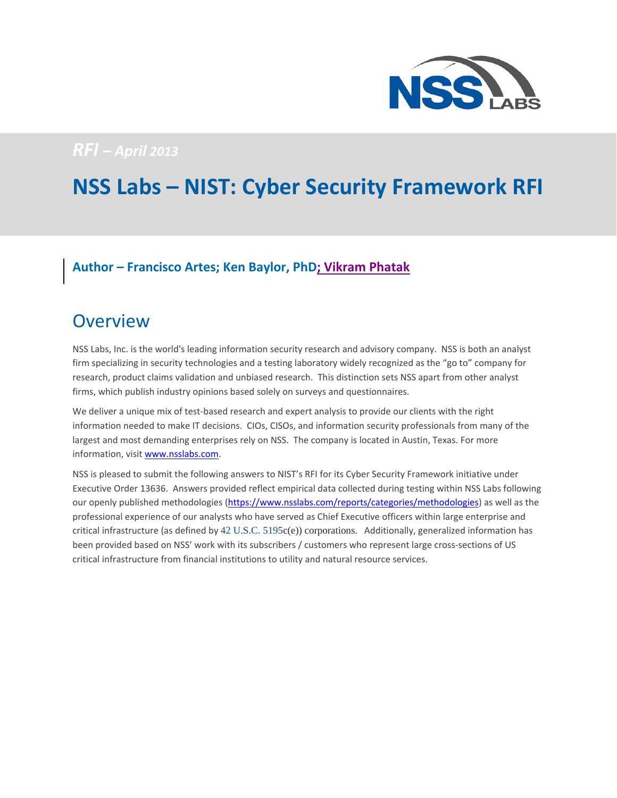

## *RFI – April <sup>2013</sup>*

# **NSS Labs – NIST: Cyber Security Framework RFI**

## **Author – Francisco Artes; Ken Baylor, PhD; Vikram Phatak**

## **Overview**

NSS Labs, Inc. is the world's leading information security research and advisory company. NSS is both an analyst firm specializing in security technologies and a testing laboratory widely recognized as the "go to" company for research, product claims validation and unbiased research. This distinction sets NSS apart from other analyst firms, which publish industry opinions based solely on surveys and questionnaires.

We deliver a unique mix of test-based research and expert analysis to provide our clients with the right information needed to make IT decisions. CIOs, CISOs, and information security professionals from many of the largest and most demanding enterprises rely on NSS. The company is located in Austin, Texas. For more information, visi[t www.nsslabs.com.](http://www.nsslabs.com/)

NSS is pleased to submit the following answers to NIST's RFI for its Cyber Security Framework initiative under Executive Order 13636. Answers provided reflect empirical data collected during testing within NSS Labs following our openly published methodologies [\(https://www.nsslabs.com/reports/categories/methodologies\)](https://www.nsslabs.com/reports/categories/methodologies) as well as the professional experience of our analysts who have served as Chief Executive officers within large enterprise and critical infrastructure (as defined by [42 U.S.C. 5195c](http://api.fdsys.gov/link?collection=uscode&title=42&year=mostrecent§ion=5195&type=usc&link-type=html)(e)) corporations. Additionally, generalized information has been provided based on NSS' work with its subscribers / customers who represent large cross-sections of US critical infrastructure from financial institutions to utility and natural resource services.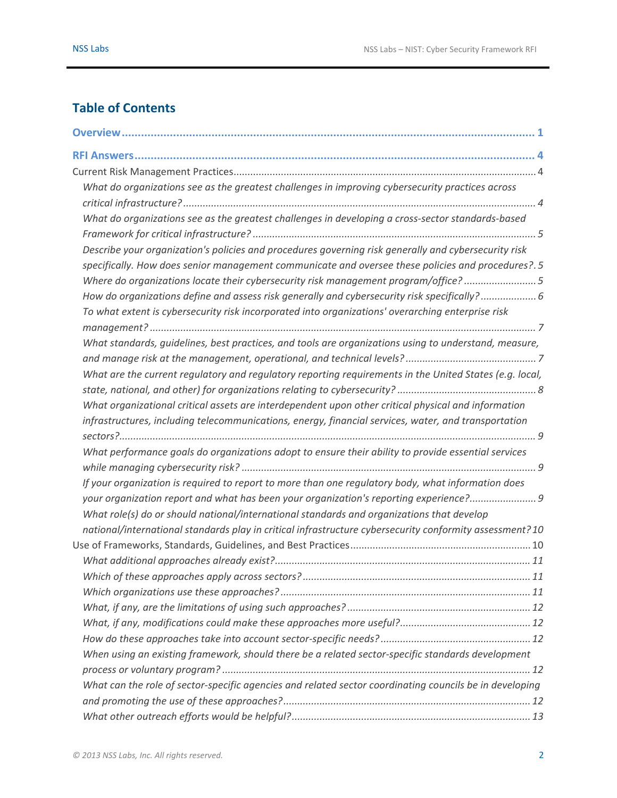## **Table of Contents**

| What do organizations see as the greatest challenges in improving cybersecurity practices across        |  |
|---------------------------------------------------------------------------------------------------------|--|
|                                                                                                         |  |
| What do organizations see as the greatest challenges in developing a cross-sector standards-based       |  |
|                                                                                                         |  |
| Describe your organization's policies and procedures governing risk generally and cybersecurity risk    |  |
| specifically. How does senior management communicate and oversee these policies and procedures?. 5      |  |
| Where do organizations locate their cybersecurity risk management program/office?5                      |  |
| How do organizations define and assess risk generally and cybersecurity risk specifically? 6            |  |
| To what extent is cybersecurity risk incorporated into organizations' overarching enterprise risk       |  |
|                                                                                                         |  |
| What standards, guidelines, best practices, and tools are organizations using to understand, measure,   |  |
|                                                                                                         |  |
| What are the current regulatory and regulatory reporting requirements in the United States (e.g. local, |  |
|                                                                                                         |  |
| What organizational critical assets are interdependent upon other critical physical and information     |  |
| infrastructures, including telecommunications, energy, financial services, water, and transportation    |  |
|                                                                                                         |  |
| What performance goals do organizations adopt to ensure their ability to provide essential services     |  |
| If your organization is required to report to more than one regulatory body, what information does      |  |
| your organization report and what has been your organization's reporting experience?                    |  |
| What role(s) do or should national/international standards and organizations that develop               |  |
| national/international standards play in critical infrastructure cybersecurity conformity assessment?10 |  |
|                                                                                                         |  |
|                                                                                                         |  |
|                                                                                                         |  |
|                                                                                                         |  |
|                                                                                                         |  |
|                                                                                                         |  |
|                                                                                                         |  |
| When using an existing framework, should there be a related sector-specific standards development       |  |
|                                                                                                         |  |
| What can the role of sector-specific agencies and related sector coordinating councils be in developing |  |
|                                                                                                         |  |
|                                                                                                         |  |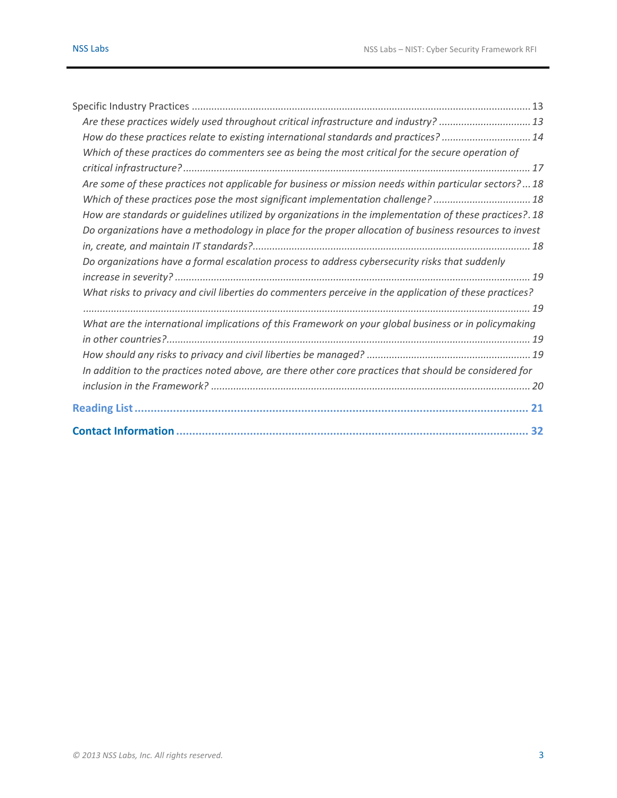| Are these practices widely used throughout critical infrastructure and industry?  13                    |  |
|---------------------------------------------------------------------------------------------------------|--|
| How do these practices relate to existing international standards and practices?  14                    |  |
| Which of these practices do commenters see as being the most critical for the secure operation of       |  |
|                                                                                                         |  |
| Are some of these practices not applicable for business or mission needs within particular sectors?18   |  |
| Which of these practices pose the most significant implementation challenge?  18                        |  |
| How are standards or guidelines utilized by organizations in the implementation of these practices?. 18 |  |
| Do organizations have a methodology in place for the proper allocation of business resources to invest  |  |
|                                                                                                         |  |
| Do organizations have a formal escalation process to address cybersecurity risks that suddenly          |  |
|                                                                                                         |  |
| What risks to privacy and civil liberties do commenters perceive in the application of these practices? |  |
|                                                                                                         |  |
| What are the international implications of this Framework on your global business or in policymaking    |  |
|                                                                                                         |  |
|                                                                                                         |  |
| In addition to the practices noted above, are there other core practices that should be considered for  |  |
|                                                                                                         |  |
|                                                                                                         |  |
|                                                                                                         |  |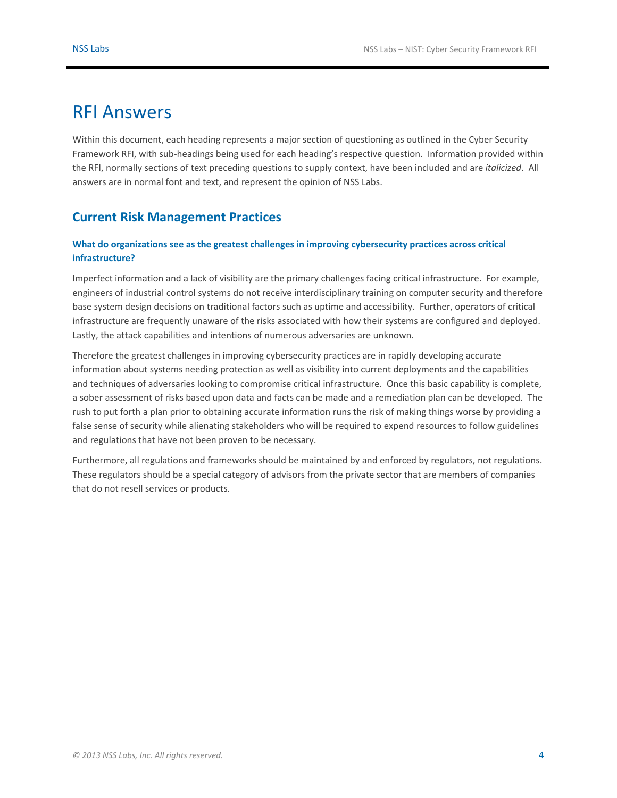## RFI Answers

Within this document, each heading represents a major section of questioning as outlined in the Cyber Security Framework RFI, with sub-headings being used for each heading's respective question. Information provided within the RFI, normally sections of text preceding questions to supply context, have been included and are *italicized*. All answers are in normal font and text, and represent the opinion of NSS Labs.

## **Current Risk Management Practices**

## **What do organizations see as the greatest challenges in improving cybersecurity practices across critical infrastructure?**

Imperfect information and a lack of visibility are the primary challenges facing critical infrastructure. For example, engineers of industrial control systems do not receive interdisciplinary training on computer security and therefore base system design decisions on traditional factors such as uptime and accessibility. Further, operators of critical infrastructure are frequently unaware of the risks associated with how their systems are configured and deployed. Lastly, the attack capabilities and intentions of numerous adversaries are unknown.

Therefore the greatest challenges in improving cybersecurity practices are in rapidly developing accurate information about systems needing protection as well as visibility into current deployments and the capabilities and techniques of adversaries looking to compromise critical infrastructure. Once this basic capability is complete, a sober assessment of risks based upon data and facts can be made and a remediation plan can be developed. The rush to put forth a plan prior to obtaining accurate information runs the risk of making things worse by providing a false sense of security while alienating stakeholders who will be required to expend resources to follow guidelines and regulations that have not been proven to be necessary.

Furthermore, all regulations and frameworks should be maintained by and enforced by regulators, not regulations. These regulators should be a special category of advisors from the private sector that are members of companies that do not resell services or products.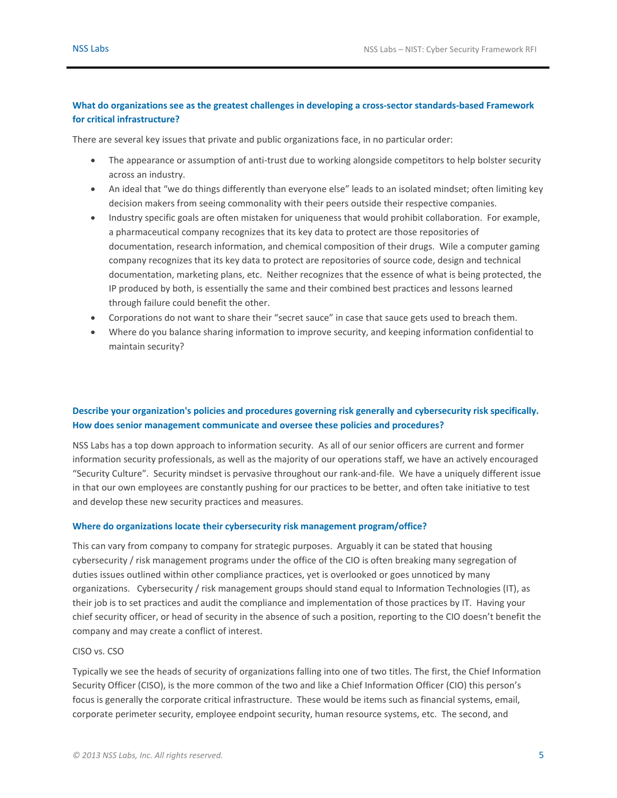## **What do organizations see as the greatest challenges in developing a cross-sector standards-based Framework for critical infrastructure?**

There are several key issues that private and public organizations face, in no particular order:

- The appearance or assumption of anti-trust due to working alongside competitors to help bolster security across an industry.
- An ideal that "we do things differently than everyone else" leads to an isolated mindset; often limiting key decision makers from seeing commonality with their peers outside their respective companies.
- Industry specific goals are often mistaken for uniqueness that would prohibit collaboration. For example, a pharmaceutical company recognizes that its key data to protect are those repositories of documentation, research information, and chemical composition of their drugs. Wile a computer gaming company recognizes that its key data to protect are repositories of source code, design and technical documentation, marketing plans, etc. Neither recognizes that the essence of what is being protected, the IP produced by both, is essentially the same and their combined best practices and lessons learned through failure could benefit the other.
- Corporations do not want to share their "secret sauce" in case that sauce gets used to breach them.
- Where do you balance sharing information to improve security, and keeping information confidential to maintain security?

## **Describe your organization's policies and procedures governing risk generally and cybersecurity risk specifically. How does senior management communicate and oversee these policies and procedures?**

NSS Labs has a top down approach to information security. As all of our senior officers are current and former information security professionals, as well as the majority of our operations staff, we have an actively encouraged "Security Culture". Security mindset is pervasive throughout our rank-and-file. We have a uniquely different issue in that our own employees are constantly pushing for our practices to be better, and often take initiative to test and develop these new security practices and measures.

#### **Where do organizations locate their cybersecurity risk management program/office?**

This can vary from company to company for strategic purposes. Arguably it can be stated that housing cybersecurity / risk management programs under the office of the CIO is often breaking many segregation of duties issues outlined within other compliance practices, yet is overlooked or goes unnoticed by many organizations. Cybersecurity / risk management groups should stand equal to Information Technologies (IT), as their job is to set practices and audit the compliance and implementation of those practices by IT. Having your chief security officer, or head of security in the absence of such a position, reporting to the CIO doesn't benefit the company and may create a conflict of interest.

#### CISO vs. CSO

Typically we see the heads of security of organizations falling into one of two titles. The first, the Chief Information Security Officer (CISO), is the more common of the two and like a Chief Information Officer (CIO) this person's focus is generally the corporate critical infrastructure. These would be items such as financial systems, email, corporate perimeter security, employee endpoint security, human resource systems, etc. The second, and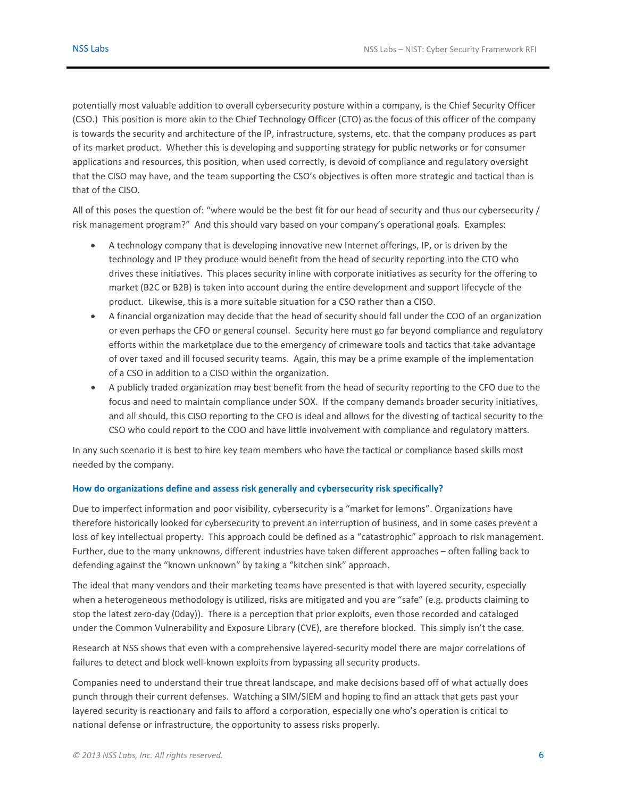potentially most valuable addition to overall cybersecurity posture within a company, is the Chief Security Officer (CSO.) This position is more akin to the Chief Technology Officer (CTO) as the focus of this officer of the company is towards the security and architecture of the IP, infrastructure, systems, etc. that the company produces as part of its market product. Whether this is developing and supporting strategy for public networks or for consumer applications and resources, this position, when used correctly, is devoid of compliance and regulatory oversight that the CISO may have, and the team supporting the CSO's objectives is often more strategic and tactical than is that of the CISO.

All of this poses the question of: "where would be the best fit for our head of security and thus our cybersecurity / risk management program?" And this should vary based on your company's operational goals. Examples:

- A technology company that is developing innovative new Internet offerings, IP, or is driven by the technology and IP they produce would benefit from the head of security reporting into the CTO who drives these initiatives. This places security inline with corporate initiatives as security for the offering to market (B2C or B2B) is taken into account during the entire development and support lifecycle of the product. Likewise, this is a more suitable situation for a CSO rather than a CISO.
- A financial organization may decide that the head of security should fall under the COO of an organization or even perhaps the CFO or general counsel. Security here must go far beyond compliance and regulatory efforts within the marketplace due to the emergency of crimeware tools and tactics that take advantage of over taxed and ill focused security teams. Again, this may be a prime example of the implementation of a CSO in addition to a CISO within the organization.
- A publicly traded organization may best benefit from the head of security reporting to the CFO due to the focus and need to maintain compliance under SOX. If the company demands broader security initiatives, and all should, this CISO reporting to the CFO is ideal and allows for the divesting of tactical security to the CSO who could report to the COO and have little involvement with compliance and regulatory matters.

In any such scenario it is best to hire key team members who have the tactical or compliance based skills most needed by the company.

#### **How do organizations define and assess risk generally and cybersecurity risk specifically?**

Due to imperfect information and poor visibility, cybersecurity is a "market for lemons". Organizations have therefore historically looked for cybersecurity to prevent an interruption of business, and in some cases prevent a loss of key intellectual property. This approach could be defined as a "catastrophic" approach to risk management. Further, due to the many unknowns, different industries have taken different approaches – often falling back to defending against the "known unknown" by taking a "kitchen sink" approach.

The ideal that many vendors and their marketing teams have presented is that with layered security, especially when a heterogeneous methodology is utilized, risks are mitigated and you are "safe" (e.g. products claiming to stop the latest zero-day (0day)). There is a perception that prior exploits, even those recorded and cataloged under the Common Vulnerability and Exposure Library (CVE), are therefore blocked. This simply isn't the case.

Research at NSS shows that even with a comprehensive layered-security model there are major correlations of failures to detect and block well-known exploits from bypassing all security products.

Companies need to understand their true threat landscape, and make decisions based off of what actually does punch through their current defenses. Watching a SIM/SIEM and hoping to find an attack that gets past your layered security is reactionary and fails to afford a corporation, especially one who's operation is critical to national defense or infrastructure, the opportunity to assess risks properly.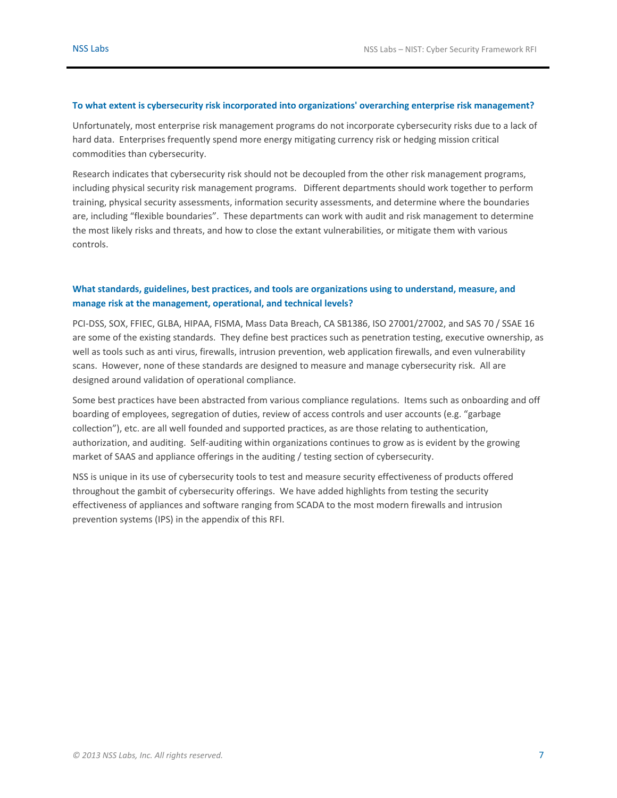#### **To what extent is cybersecurity risk incorporated into organizations' overarching enterprise risk management?**

Unfortunately, most enterprise risk management programs do not incorporate cybersecurity risks due to a lack of hard data. Enterprises frequently spend more energy mitigating currency risk or hedging mission critical commodities than cybersecurity.

Research indicates that cybersecurity risk should not be decoupled from the other risk management programs, including physical security risk management programs. Different departments should work together to perform training, physical security assessments, information security assessments, and determine where the boundaries are, including "flexible boundaries". These departments can work with audit and risk management to determine the most likely risks and threats, and how to close the extant vulnerabilities, or mitigate them with various controls.

## **What standards, guidelines, best practices, and tools are organizations using to understand, measure, and manage risk at the management, operational, and technical levels?**

PCI-DSS, SOX, FFIEC, GLBA, HIPAA, FISMA, Mass Data Breach, CA SB1386, ISO 27001/27002, and SAS 70 / SSAE 16 are some of the existing standards. They define best practices such as penetration testing, executive ownership, as well as tools such as anti virus, firewalls, intrusion prevention, web application firewalls, and even vulnerability scans. However, none of these standards are designed to measure and manage cybersecurity risk. All are designed around validation of operational compliance.

Some best practices have been abstracted from various compliance regulations. Items such as onboarding and off boarding of employees, segregation of duties, review of access controls and user accounts (e.g. "garbage collection"), etc. are all well founded and supported practices, as are those relating to authentication, authorization, and auditing. Self-auditing within organizations continues to grow as is evident by the growing market of SAAS and appliance offerings in the auditing / testing section of cybersecurity.

NSS is unique in its use of cybersecurity tools to test and measure security effectiveness of products offered throughout the gambit of cybersecurity offerings. We have added highlights from testing the security effectiveness of appliances and software ranging from SCADA to the most modern firewalls and intrusion prevention systems (IPS) in the appendix of this RFI.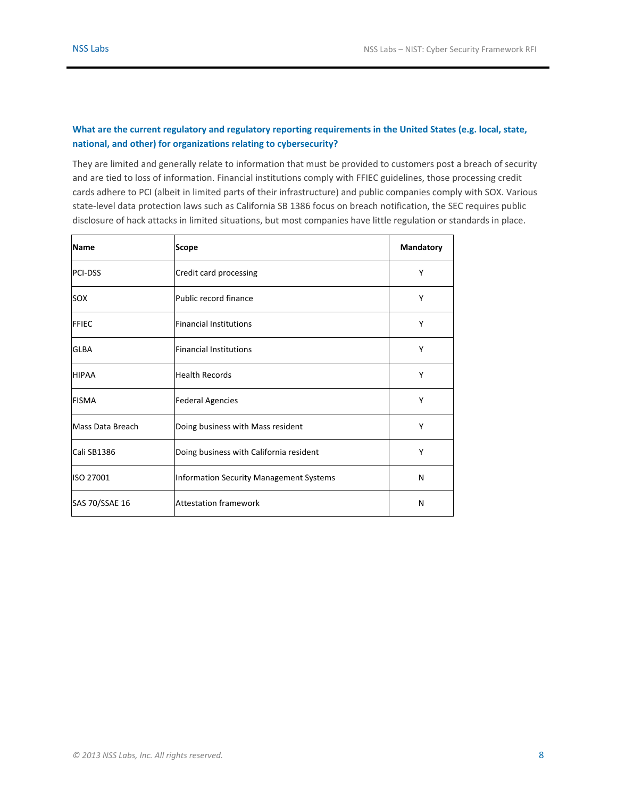## **What are the current regulatory and regulatory reporting requirements in the United States (e.g. local, state, national, and other) for organizations relating to cybersecurity?**

They are limited and generally relate to information that must be provided to customers post a breach of security and are tied to loss of information. Financial institutions comply with FFIEC guidelines, those processing credit cards adhere to PCI (albeit in limited parts of their infrastructure) and public companies comply with SOX. Various state-level data protection laws such as California SB 1386 focus on breach notification, the SEC requires public disclosure of hack attacks in limited situations, but most companies have little regulation or standards in place.

| Name                  | Scope                                          | <b>Mandatory</b> |
|-----------------------|------------------------------------------------|------------------|
| <b>PCI-DSS</b>        | Credit card processing                         | Y                |
| SOX                   | Public record finance                          | Y                |
| <b>FFIEC</b>          | <b>Financial Institutions</b>                  | Y                |
| <b>GLBA</b>           | <b>Financial Institutions</b>                  | Y                |
| <b>HIPAA</b>          | <b>Health Records</b>                          | Y                |
| <b>FISMA</b>          | <b>Federal Agencies</b>                        | Y                |
| Mass Data Breach      | Doing business with Mass resident              | Y                |
| Cali SB1386           | Doing business with California resident        | Y                |
| ISO 27001             | <b>Information Security Management Systems</b> | N                |
| <b>SAS 70/SSAE 16</b> | <b>Attestation framework</b>                   | N                |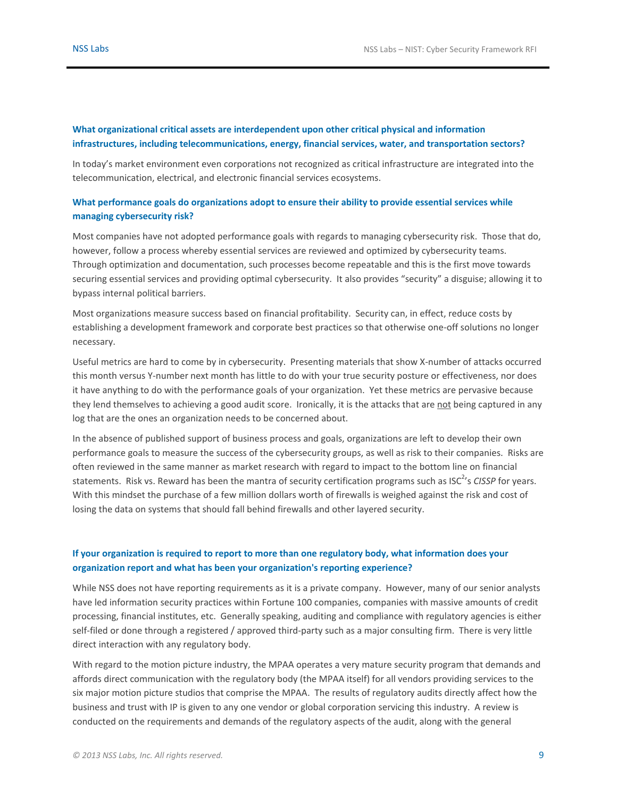### **What organizational critical assets are interdependent upon other critical physical and information infrastructures, including telecommunications, energy, financial services, water, and transportation sectors?**

In today's market environment even corporations not recognized as critical infrastructure are integrated into the telecommunication, electrical, and electronic financial services ecosystems.

## **What performance goals do organizations adopt to ensure their ability to provide essential services while managing cybersecurity risk?**

Most companies have not adopted performance goals with regards to managing cybersecurity risk. Those that do, however, follow a process whereby essential services are reviewed and optimized by cybersecurity teams. Through optimization and documentation, such processes become repeatable and this is the first move towards securing essential services and providing optimal cybersecurity. It also provides "security" a disguise; allowing it to bypass internal political barriers.

Most organizations measure success based on financial profitability. Security can, in effect, reduce costs by establishing a development framework and corporate best practices so that otherwise one-off solutions no longer necessary.

Useful metrics are hard to come by in cybersecurity. Presenting materials that show X-number of attacks occurred this month versus Y-number next month has little to do with your true security posture or effectiveness, nor does it have anything to do with the performance goals of your organization. Yet these metrics are pervasive because they lend themselves to achieving a good audit score. Ironically, it is the attacks that are not being captured in any log that are the ones an organization needs to be concerned about.

In the absence of published support of business process and goals, organizations are left to develop their own performance goals to measure the success of the cybersecurity groups, as well as risk to their companies. Risks are often reviewed in the same manner as market research with regard to impact to the bottom line on financial statements. Risk vs. Reward has been the mantra of security certification programs such as ISC<sup>2</sup>'s *CISSP* for years. With this mindset the purchase of a few million dollars worth of firewalls is weighed against the risk and cost of losing the data on systems that should fall behind firewalls and other layered security.

## **If your organization is required to report to more than one regulatory body, what information does your organization report and what has been your organization's reporting experience?**

While NSS does not have reporting requirements as it is a private company. However, many of our senior analysts have led information security practices within Fortune 100 companies, companies with massive amounts of credit processing, financial institutes, etc. Generally speaking, auditing and compliance with regulatory agencies is either self-filed or done through a registered / approved third-party such as a major consulting firm. There is very little direct interaction with any regulatory body.

With regard to the motion picture industry, the MPAA operates a very mature security program that demands and affords direct communication with the regulatory body (the MPAA itself) for all vendors providing services to the six major motion picture studios that comprise the MPAA. The results of regulatory audits directly affect how the business and trust with IP is given to any one vendor or global corporation servicing this industry. A review is conducted on the requirements and demands of the regulatory aspects of the audit, along with the general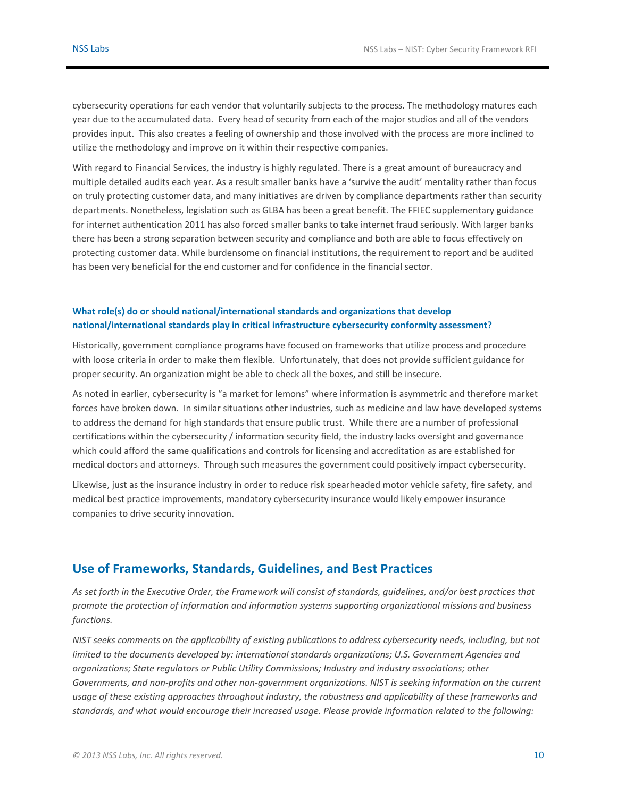cybersecurity operations for each vendor that voluntarily subjects to the process. The methodology matures each year due to the accumulated data. Every head of security from each of the major studios and all of the vendors provides input. This also creates a feeling of ownership and those involved with the process are more inclined to utilize the methodology and improve on it within their respective companies.

With regard to Financial Services, the industry is highly regulated. There is a great amount of bureaucracy and multiple detailed audits each year. As a result smaller banks have a 'survive the audit' mentality rather than focus on truly protecting customer data, and many initiatives are driven by compliance departments rather than security departments. Nonetheless, legislation such as GLBA has been a great benefit. The FFIEC supplementary guidance for internet authentication 2011 has also forced smaller banks to take internet fraud seriously. With larger banks there has been a strong separation between security and compliance and both are able to focus effectively on protecting customer data. While burdensome on financial institutions, the requirement to report and be audited has been very beneficial for the end customer and for confidence in the financial sector.

## **What role(s) do or should national/international standards and organizations that develop national/international standards play in critical infrastructure cybersecurity conformity assessment?**

Historically, government compliance programs have focused on frameworks that utilize process and procedure with loose criteria in order to make them flexible. Unfortunately, that does not provide sufficient guidance for proper security. An organization might be able to check all the boxes, and still be insecure.

As noted in earlier, cybersecurity is "a market for lemons" where information is asymmetric and therefore market forces have broken down. In similar situations other industries, such as medicine and law have developed systems to address the demand for high standards that ensure public trust. While there are a number of professional certifications within the cybersecurity / information security field, the industry lacks oversight and governance which could afford the same qualifications and controls for licensing and accreditation as are established for medical doctors and attorneys. Through such measures the government could positively impact cybersecurity.

Likewise, just as the insurance industry in order to reduce risk spearheaded motor vehicle safety, fire safety, and medical best practice improvements, mandatory cybersecurity insurance would likely empower insurance companies to drive security innovation.

## **Use of Frameworks, Standards, Guidelines, and Best Practices**

*As set forth in the Executive Order, the Framework will consist of standards, guidelines, and/or best practices that promote the protection of information and information systems supporting organizational missions and business functions.*

*NIST seeks comments on the applicability of existing publications to address cybersecurity needs, including, but not limited to the documents developed by: international standards organizations; U.S. Government Agencies and organizations; State regulators or Public Utility Commissions; Industry and industry associations; other Governments, and non-profits and other non-government organizations. NIST is seeking information on the current usage of these existing approaches throughout industry, the robustness and applicability of these frameworks and standards, and what would encourage their increased usage. Please provide information related to the following:*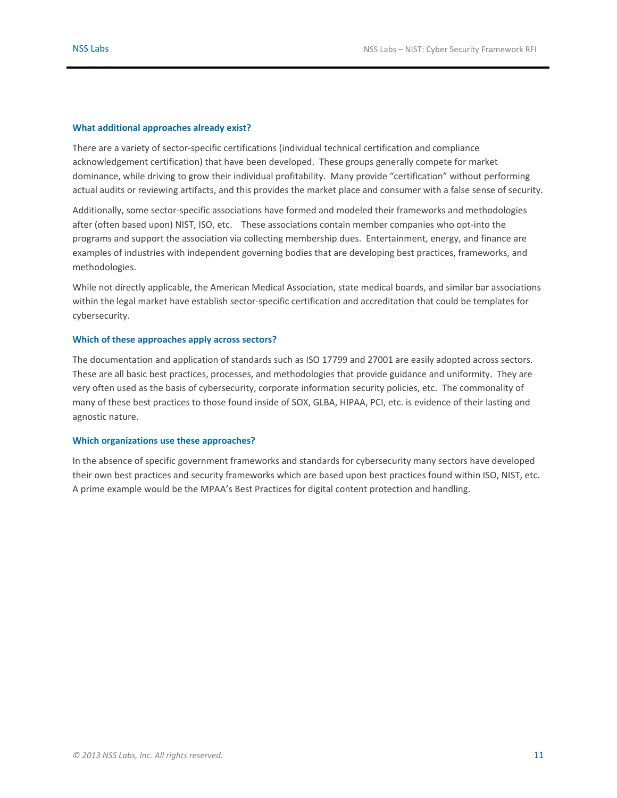#### **What additional approaches already exist?**

There are a variety of sector-specific certifications (individual technical certification and compliance acknowledgement certification) that have been developed. These groups generally compete for market dominance, while driving to grow their individual profitability. Many provide "certification" without performing actual audits or reviewing artifacts, and this provides the market place and consumer with a false sense of security.

Additionally, some sector-specific associations have formed and modeled their frameworks and methodologies after (often based upon) NIST, ISO, etc. These associations contain member companies who opt-into the programs and support the association via collecting membership dues. Entertainment, energy, and finance are examples of industries with independent governing bodies that are developing best practices, frameworks, and methodologies.

While not directly applicable, the American Medical Association, state medical boards, and similar bar associations within the legal market have establish sector-specific certification and accreditation that could be templates for cybersecurity.

#### **Which of these approaches apply across sectors?**

The documentation and application of standards such as ISO 17799 and 27001 are easily adopted across sectors. These are all basic best practices, processes, and methodologies that provide guidance and uniformity. They are very often used as the basis of cybersecurity, corporate information security policies, etc. The commonality of many of these best practices to those found inside of SOX, GLBA, HIPAA, PCI, etc. is evidence of their lasting and agnostic nature.

#### **Which organizations use these approaches?**

In the absence of specific government frameworks and standards for cybersecurity many sectors have developed their own best practices and security frameworks which are based upon best practices found within ISO, NIST, etc. A prime example would be the MPAA's Best Practices for digital content protection and handling.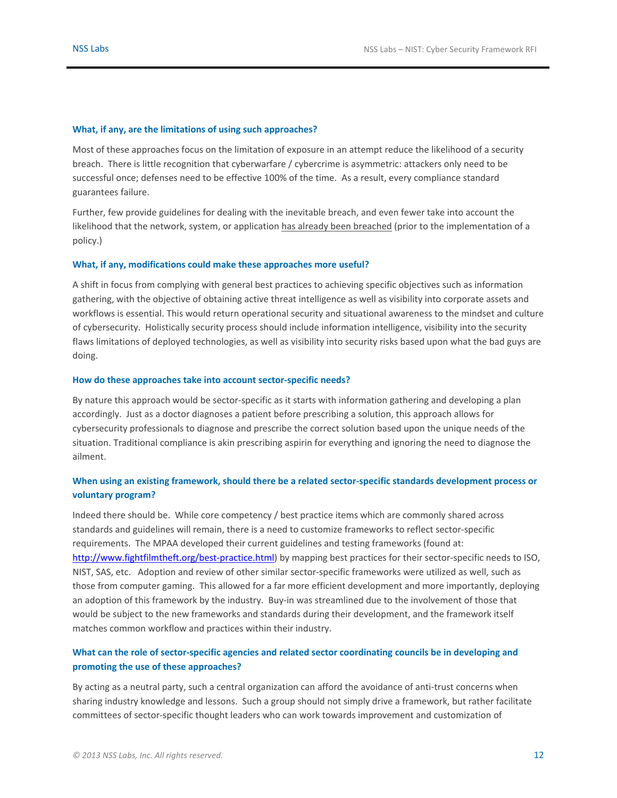#### **What, if any, are the limitations of using such approaches?**

Most of these approaches focus on the limitation of exposure in an attempt reduce the likelihood of a security breach. There is little recognition that cyberwarfare / cybercrime is asymmetric: attackers only need to be successful once; defenses need to be effective 100% of the time. As a result, every compliance standard guarantees failure.

Further, few provide guidelines for dealing with the inevitable breach, and even fewer take into account the likelihood that the network, system, or application has already been breached (prior to the implementation of a policy.)

#### **What, if any, modifications could make these approaches more useful?**

A shift in focus from complying with general best practices to achieving specific objectives such as information gathering, with the objective of obtaining active threat intelligence as well as visibility into corporate assets and workflows is essential. This would return operational security and situational awareness to the mindset and culture of cybersecurity. Holistically security process should include information intelligence, visibility into the security flaws limitations of deployed technologies, as well as visibility into security risks based upon what the bad guys are doing.

#### **How do these approaches take into account sector-specific needs?**

By nature this approach would be sector-specific as it starts with information gathering and developing a plan accordingly. Just as a doctor diagnoses a patient before prescribing a solution, this approach allows for cybersecurity professionals to diagnose and prescribe the correct solution based upon the unique needs of the situation. Traditional compliance is akin prescribing aspirin for everything and ignoring the need to diagnose the ailment.

## **When using an existing framework, should there be a related sector-specific standards development process or voluntary program?**

Indeed there should be. While core competency / best practice items which are commonly shared across standards and guidelines will remain, there is a need to customize frameworks to reflect sector-specific requirements. The MPAA developed their current guidelines and testing frameworks (found at: [http://www.fightfilmtheft.org/best-practice.html\)](http://www.fightfilmtheft.org/best-practice.html) by mapping best practices for their sector-specific needs to ISO, NIST, SAS, etc. Adoption and review of other similar sector-specific frameworks were utilized as well, such as those from computer gaming. This allowed for a far more efficient development and more importantly, deploying an adoption of this framework by the industry. Buy-in was streamlined due to the involvement of those that would be subject to the new frameworks and standards during their development, and the framework itself matches common workflow and practices within their industry.

## **What can the role of sector-specific agencies and related sector coordinating councils be in developing and promoting the use of these approaches?**

By acting as a neutral party, such a central organization can afford the avoidance of anti-trust concerns when sharing industry knowledge and lessons. Such a group should not simply drive a framework, but rather facilitate committees of sector-specific thought leaders who can work towards improvement and customization of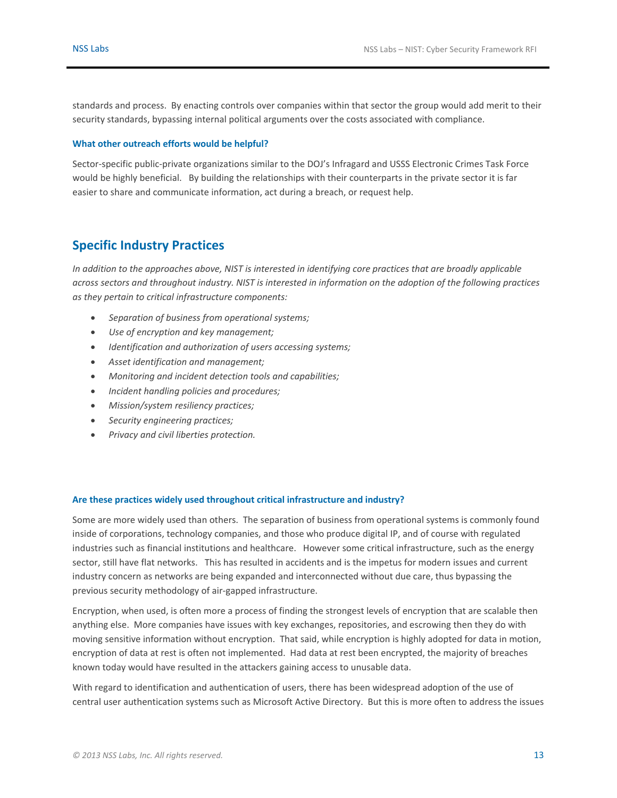standards and process. By enacting controls over companies within that sector the group would add merit to their security standards, bypassing internal political arguments over the costs associated with compliance.

#### **What other outreach efforts would be helpful?**

Sector-specific public-private organizations similar to the DOJ's Infragard and USSS Electronic Crimes Task Force would be highly beneficial. By building the relationships with their counterparts in the private sector it is far easier to share and communicate information, act during a breach, or request help.

## **Specific Industry Practices**

*In addition to the approaches above, NIST is interested in identifying core practices that are broadly applicable across sectors and throughout industry. NIST is interested in information on the adoption of the following practices as they pertain to critical infrastructure components:*

- *Separation of business from operational systems;*
- *Use of encryption and key management;*
- *Identification and authorization of users accessing systems;*
- *Asset identification and management;*
- *Monitoring and incident detection tools and capabilities;*
- *Incident handling policies and procedures;*
- *Mission/system resiliency practices;*
- *Security engineering practices;*
- *Privacy and civil liberties protection.*

#### **Are these practices widely used throughout critical infrastructure and industry?**

Some are more widely used than others. The separation of business from operational systems is commonly found inside of corporations, technology companies, and those who produce digital IP, and of course with regulated industries such as financial institutions and healthcare. However some critical infrastructure, such as the energy sector, still have flat networks. This has resulted in accidents and is the impetus for modern issues and current industry concern as networks are being expanded and interconnected without due care, thus bypassing the previous security methodology of air-gapped infrastructure.

Encryption, when used, is often more a process of finding the strongest levels of encryption that are scalable then anything else. More companies have issues with key exchanges, repositories, and escrowing then they do with moving sensitive information without encryption. That said, while encryption is highly adopted for data in motion, encryption of data at rest is often not implemented. Had data at rest been encrypted, the majority of breaches known today would have resulted in the attackers gaining access to unusable data.

With regard to identification and authentication of users, there has been widespread adoption of the use of central user authentication systems such as Microsoft Active Directory. But this is more often to address the issues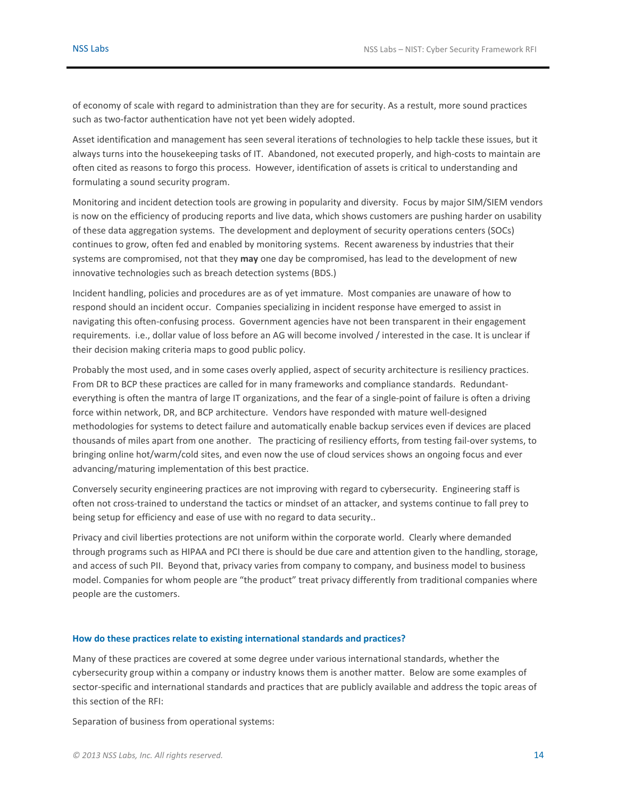of economy of scale with regard to administration than they are for security. As a restult, more sound practices such as two-factor authentication have not yet been widely adopted.

Asset identification and management has seen several iterations of technologies to help tackle these issues, but it always turns into the housekeeping tasks of IT. Abandoned, not executed properly, and high-costs to maintain are often cited as reasons to forgo this process. However, identification of assets is critical to understanding and formulating a sound security program.

Monitoring and incident detection tools are growing in popularity and diversity. Focus by major SIM/SIEM vendors is now on the efficiency of producing reports and live data, which shows customers are pushing harder on usability of these data aggregation systems. The development and deployment of security operations centers (SOCs) continues to grow, often fed and enabled by monitoring systems. Recent awareness by industries that their systems are compromised, not that they **may** one day be compromised, has lead to the development of new innovative technologies such as breach detection systems (BDS.)

Incident handling, policies and procedures are as of yet immature. Most companies are unaware of how to respond should an incident occur. Companies specializing in incident response have emerged to assist in navigating this often-confusing process. Government agencies have not been transparent in their engagement requirements. i.e., dollar value of loss before an AG will become involved / interested in the case. It is unclear if their decision making criteria maps to good public policy.

Probably the most used, and in some cases overly applied, aspect of security architecture is resiliency practices. From DR to BCP these practices are called for in many frameworks and compliance standards. Redundanteverything is often the mantra of large IT organizations, and the fear of a single-point of failure is often a driving force within network, DR, and BCP architecture. Vendors have responded with mature well-designed methodologies for systems to detect failure and automatically enable backup services even if devices are placed thousands of miles apart from one another. The practicing of resiliency efforts, from testing fail-over systems, to bringing online hot/warm/cold sites, and even now the use of cloud services shows an ongoing focus and ever advancing/maturing implementation of this best practice.

Conversely security engineering practices are not improving with regard to cybersecurity. Engineering staff is often not cross-trained to understand the tactics or mindset of an attacker, and systems continue to fall prey to being setup for efficiency and ease of use with no regard to data security..

Privacy and civil liberties protections are not uniform within the corporate world. Clearly where demanded through programs such as HIPAA and PCI there is should be due care and attention given to the handling, storage, and access of such PII. Beyond that, privacy varies from company to company, and business model to business model. Companies for whom people are "the product" treat privacy differently from traditional companies where people are the customers.

#### **How do these practices relate to existing international standards and practices?**

Many of these practices are covered at some degree under various international standards, whether the cybersecurity group within a company or industry knows them is another matter. Below are some examples of sector-specific and international standards and practices that are publicly available and address the topic areas of this section of the RFI:

Separation of business from operational systems: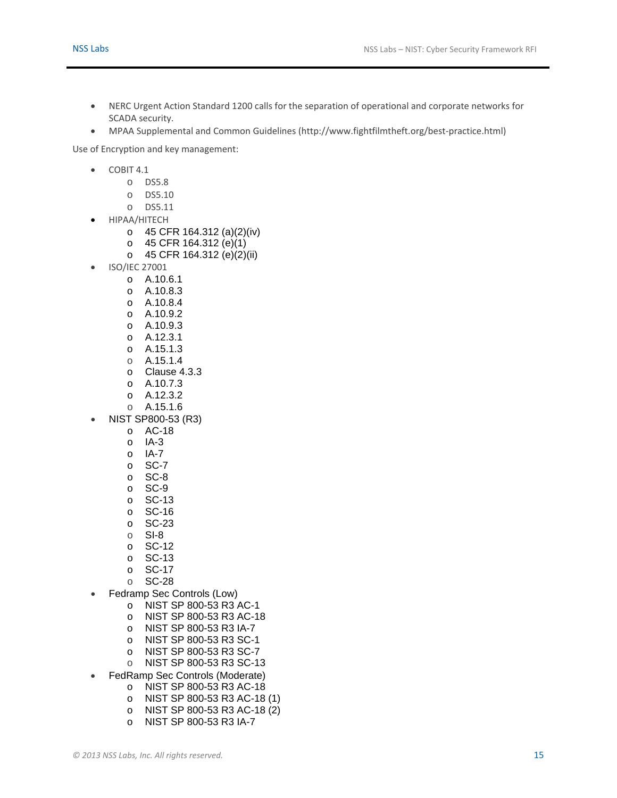- NERC Urgent Action Standard 1200 calls for the separation of operational and corporate networks for SCADA security.
- MPAA Supplemental and Common Guidelines (http://www.fightfilmtheft.org/best-practice.html)

Use of Encryption and key management:

- COBIT 4.1
	- o DS5.8
	- o DS5.10
	- o DS5.11
- HIPAA/HITECH
	- o 45 CFR 164.312 (a)(2)(iv)
	- o 45 CFR 164.312 (e)(1)
	- o 45 CFR 164.312 (e)(2)(ii)
- ISO/IEC 27001
	- o A.10.6.1
	- o A.10.8.3
	- o A.10.8.4
	- o A.10.9.2
	- o A.10.9.3
	- o A.12.3.1
	- o A.15.1.3
	- o A.15.1.4
	- o Clause 4.3.3
	- o A.10.7.3
	- o A.12.3.2
	- $\circ$  A.15.1.6
- NIST SP800-53 (R3)
	- o AC-18<br>o IA-3
	- o IA-3
	- $\circ$  IA-7<br> $\circ$  SC-7
	- **SC-7**
	- o SC-8
	- $\circ$  SC-9<br> $\circ$  SC-1:
	- SC-13
	- o SC-16
	- o SC-23
	-
	- o **SI-8**<br>o **SC-**1
	- $\circ$  SC-12<br> $\circ$  SC-13 SC-13
	- o SC-17
	- o SC-28
- Fedramp Sec Controls (Low)
	- o NIST SP 800-53 R3 AC-1
	- o NIST SP 800-53 R3 AC-18
	- o NIST SP 800-53 R3 IA-7
	- o NIST SP 800-53 R3 SC-1
	- o NIST SP 800-53 R3 SC-7
	- o NIST SP 800-53 R3 SC-13
- FedRamp Sec Controls (Moderate)
	- o NIST SP 800-53 R3 AC-18
	- o NIST SP 800-53 R3 AC-18 (1)
	- o NIST SP 800-53 R3 AC-18 (2)
	- o NIST SP 800-53 R3 IA-7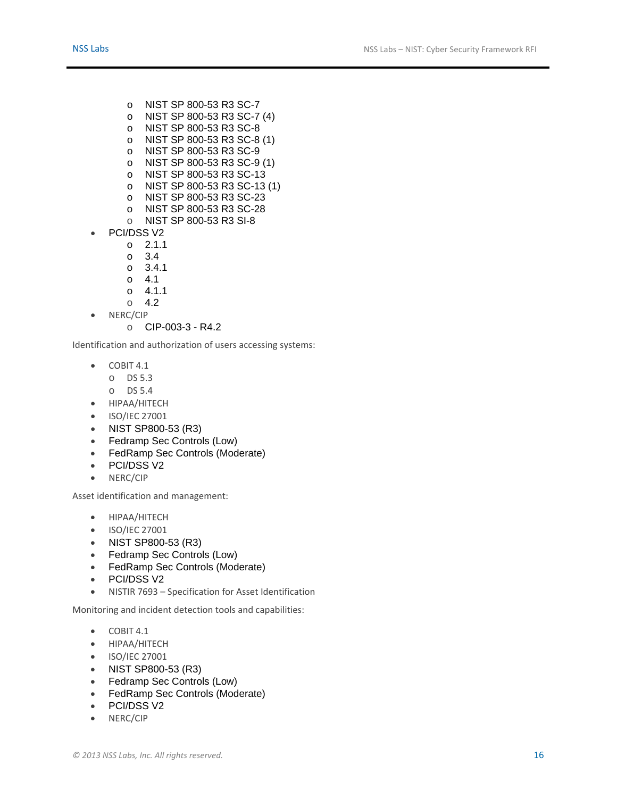- o NIST SP 800-53 R3 SC-7
- o NIST SP 800-53 R3 SC-7 (4)
- o NIST SP 800-53 R3 SC-8
- o NIST SP 800-53 R3 SC-8 (1)
- o NIST SP 800-53 R3 SC-9
- o NIST SP 800-53 R3 SC-9 (1)
- o NIST SP 800-53 R3 SC-13<br>
o NIST SP 800-53 R3 SC-13
- NIST SP 800-53 R3 SC-13 (1)
- o NIST SP 800-53 R3 SC-23
- o NIST SP 800-53 R3 SC-28
- o NIST SP 800-53 R3 SI-8
- PCI/DSS V2
	- o 2.1.1
	- o 3.4
	- o 3.4.1
	- o 4.1
	- o 4.1.1
	- o 4.2
- NERC/CIP
	- o CIP-003-3 R4.2

Identification and authorization of users accessing systems:

- COBIT 4.1
	- o DS 5.3
	- o DS 5.4
- HIPAA/HITECH
- ISO/IEC 27001
- NIST SP800-53 (R3)
- Fedramp Sec Controls (Low)
- FedRamp Sec Controls (Moderate)
- PCI/DSS V2
- NERC/CIP

Asset identification and management:

- HIPAA/HITECH
- ISO/IEC 27001
- NIST SP800-53 (R3)
- Fedramp Sec Controls (Low)
- FedRamp Sec Controls (Moderate)
- PCI/DSS V2
- NISTIR 7693 Specification for Asset Identification

Monitoring and incident detection tools and capabilities:

- COBIT 4.1
- HIPAA/HITECH
- ISO/IEC 27001
- NIST SP800-53 (R3)
- Fedramp Sec Controls (Low)
- FedRamp Sec Controls (Moderate)
- PCI/DSS V2
- NERC/CIP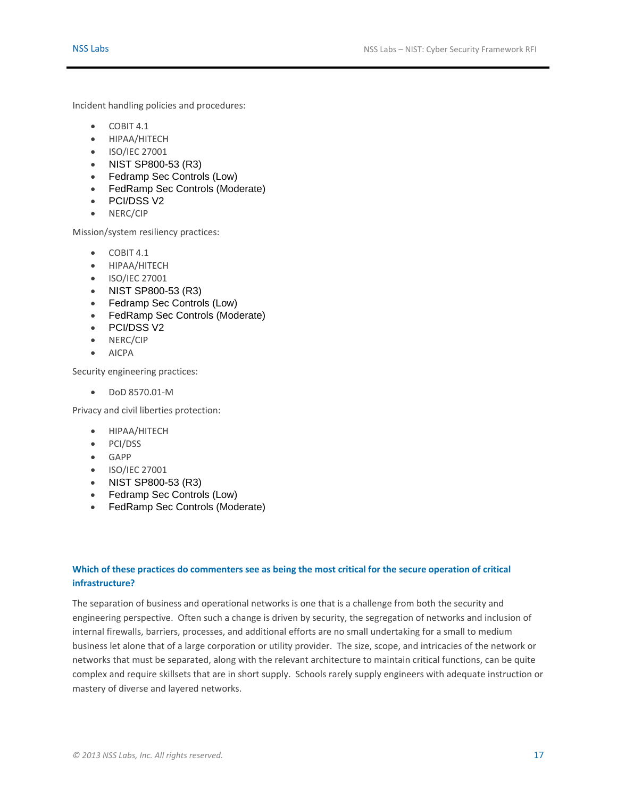Incident handling policies and procedures:

- COBIT 4.1
- HIPAA/HITECH
- ISO/IEC 27001
- NIST SP800-53 (R3)
- Fedramp Sec Controls (Low)
- FedRamp Sec Controls (Moderate)
- PCI/DSS V2
- NERC/CIP

Mission/system resiliency practices:

- COBIT 4.1
- HIPAA/HITECH
- ISO/IEC 27001
- NIST SP800-53 (R3)
- Fedramp Sec Controls (Low)
- FedRamp Sec Controls (Moderate)
- PCI/DSS V2
- NERC/CIP
- AICPA

Security engineering practices:

• DoD 8570.01-M

Privacy and civil liberties protection:

- HIPAA/HITECH
- PCI/DSS
- GAPP
- ISO/IEC 27001
- NIST SP800-53 (R3)
- Fedramp Sec Controls (Low)
- FedRamp Sec Controls (Moderate)

### **Which of these practices do commenters see as being the most critical for the secure operation of critical infrastructure?**

The separation of business and operational networks is one that is a challenge from both the security and engineering perspective. Often such a change is driven by security, the segregation of networks and inclusion of internal firewalls, barriers, processes, and additional efforts are no small undertaking for a small to medium business let alone that of a large corporation or utility provider. The size, scope, and intricacies of the network or networks that must be separated, along with the relevant architecture to maintain critical functions, can be quite complex and require skillsets that are in short supply. Schools rarely supply engineers with adequate instruction or mastery of diverse and layered networks.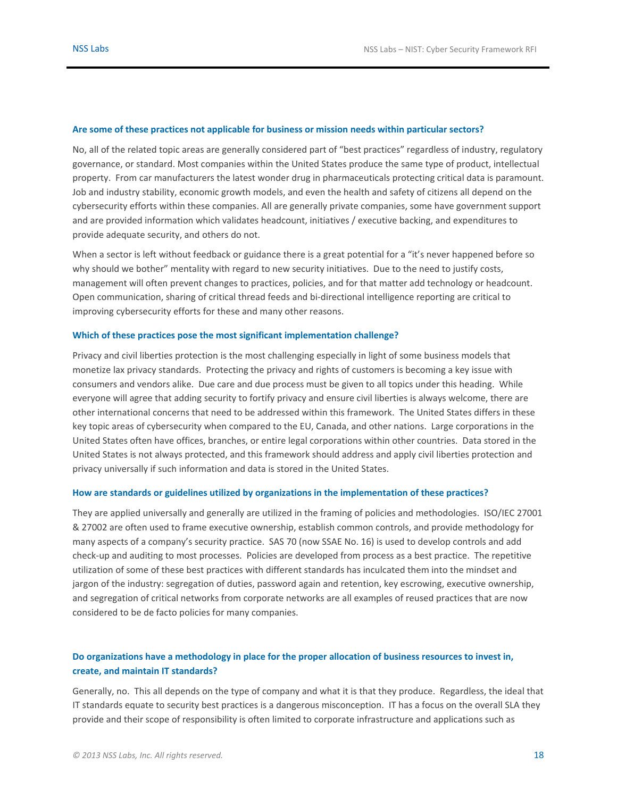#### **Are some of these practices not applicable for business or mission needs within particular sectors?**

No, all of the related topic areas are generally considered part of "best practices" regardless of industry, regulatory governance, or standard. Most companies within the United States produce the same type of product, intellectual property. From car manufacturers the latest wonder drug in pharmaceuticals protecting critical data is paramount. Job and industry stability, economic growth models, and even the health and safety of citizens all depend on the cybersecurity efforts within these companies. All are generally private companies, some have government support and are provided information which validates headcount, initiatives / executive backing, and expenditures to provide adequate security, and others do not.

When a sector is left without feedback or guidance there is a great potential for a "it's never happened before so why should we bother" mentality with regard to new security initiatives. Due to the need to justify costs, management will often prevent changes to practices, policies, and for that matter add technology or headcount. Open communication, sharing of critical thread feeds and bi-directional intelligence reporting are critical to improving cybersecurity efforts for these and many other reasons.

#### **Which of these practices pose the most significant implementation challenge?**

Privacy and civil liberties protection is the most challenging especially in light of some business models that monetize lax privacy standards. Protecting the privacy and rights of customers is becoming a key issue with consumers and vendors alike. Due care and due process must be given to all topics under this heading. While everyone will agree that adding security to fortify privacy and ensure civil liberties is always welcome, there are other international concerns that need to be addressed within this framework. The United States differs in these key topic areas of cybersecurity when compared to the EU, Canada, and other nations. Large corporations in the United States often have offices, branches, or entire legal corporations within other countries. Data stored in the United States is not always protected, and this framework should address and apply civil liberties protection and privacy universally if such information and data is stored in the United States.

#### **How are standards or guidelines utilized by organizations in the implementation of these practices?**

They are applied universally and generally are utilized in the framing of policies and methodologies. ISO/IEC 27001 & 27002 are often used to frame executive ownership, establish common controls, and provide methodology for many aspects of a company's security practice. SAS 70 (now SSAE No. 16) is used to develop controls and add check-up and auditing to most processes. Policies are developed from process as a best practice. The repetitive utilization of some of these best practices with different standards has inculcated them into the mindset and jargon of the industry: segregation of duties, password again and retention, key escrowing, executive ownership, and segregation of critical networks from corporate networks are all examples of reused practices that are now considered to be de facto policies for many companies.

## **Do organizations have a methodology in place for the proper allocation of business resources to invest in, create, and maintain IT standards?**

Generally, no. This all depends on the type of company and what it is that they produce. Regardless, the ideal that IT standards equate to security best practices is a dangerous misconception. IT has a focus on the overall SLA they provide and their scope of responsibility is often limited to corporate infrastructure and applications such as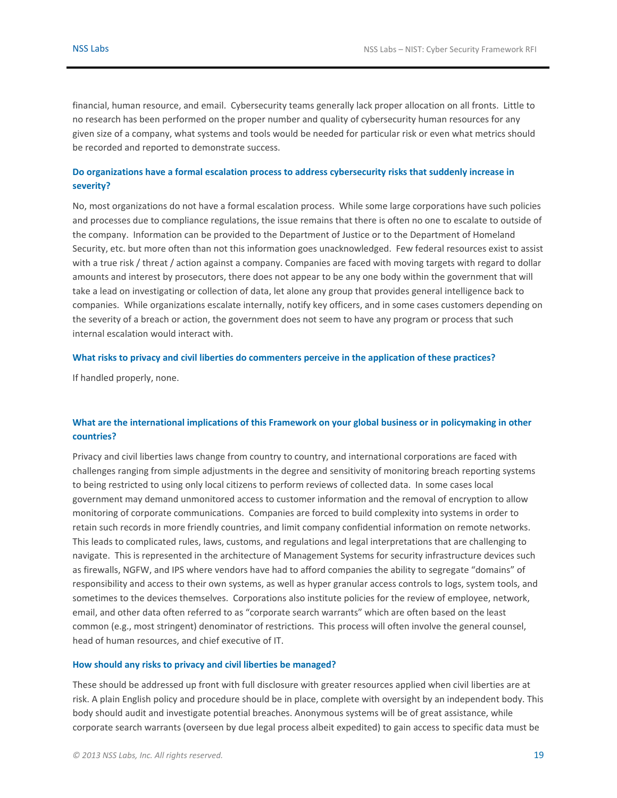financial, human resource, and email. Cybersecurity teams generally lack proper allocation on all fronts. Little to no research has been performed on the proper number and quality of cybersecurity human resources for any given size of a company, what systems and tools would be needed for particular risk or even what metrics should be recorded and reported to demonstrate success.

## **Do organizations have a formal escalation process to address cybersecurity risks that suddenly increase in severity?**

No, most organizations do not have a formal escalation process. While some large corporations have such policies and processes due to compliance regulations, the issue remains that there is often no one to escalate to outside of the company. Information can be provided to the Department of Justice or to the Department of Homeland Security, etc. but more often than not this information goes unacknowledged. Few federal resources exist to assist with a true risk / threat / action against a company. Companies are faced with moving targets with regard to dollar amounts and interest by prosecutors, there does not appear to be any one body within the government that will take a lead on investigating or collection of data, let alone any group that provides general intelligence back to companies. While organizations escalate internally, notify key officers, and in some cases customers depending on the severity of a breach or action, the government does not seem to have any program or process that such internal escalation would interact with.

#### **What risks to privacy and civil liberties do commenters perceive in the application of these practices?**

If handled properly, none.

## **What are the international implications of this Framework on your global business or in policymaking in other countries?**

Privacy and civil liberties laws change from country to country, and international corporations are faced with challenges ranging from simple adjustments in the degree and sensitivity of monitoring breach reporting systems to being restricted to using only local citizens to perform reviews of collected data. In some cases local government may demand unmonitored access to customer information and the removal of encryption to allow monitoring of corporate communications. Companies are forced to build complexity into systems in order to retain such records in more friendly countries, and limit company confidential information on remote networks. This leads to complicated rules, laws, customs, and regulations and legal interpretations that are challenging to navigate. This is represented in the architecture of Management Systems for security infrastructure devices such as firewalls, NGFW, and IPS where vendors have had to afford companies the ability to segregate "domains" of responsibility and access to their own systems, as well as hyper granular access controls to logs, system tools, and sometimes to the devices themselves. Corporations also institute policies for the review of employee, network, email, and other data often referred to as "corporate search warrants" which are often based on the least common (e.g., most stringent) denominator of restrictions. This process will often involve the general counsel, head of human resources, and chief executive of IT.

#### **How should any risks to privacy and civil liberties be managed?**

These should be addressed up front with full disclosure with greater resources applied when civil liberties are at risk. A plain English policy and procedure should be in place, complete with oversight by an independent body. This body should audit and investigate potential breaches. Anonymous systems will be of great assistance, while corporate search warrants (overseen by due legal process albeit expedited) to gain access to specific data must be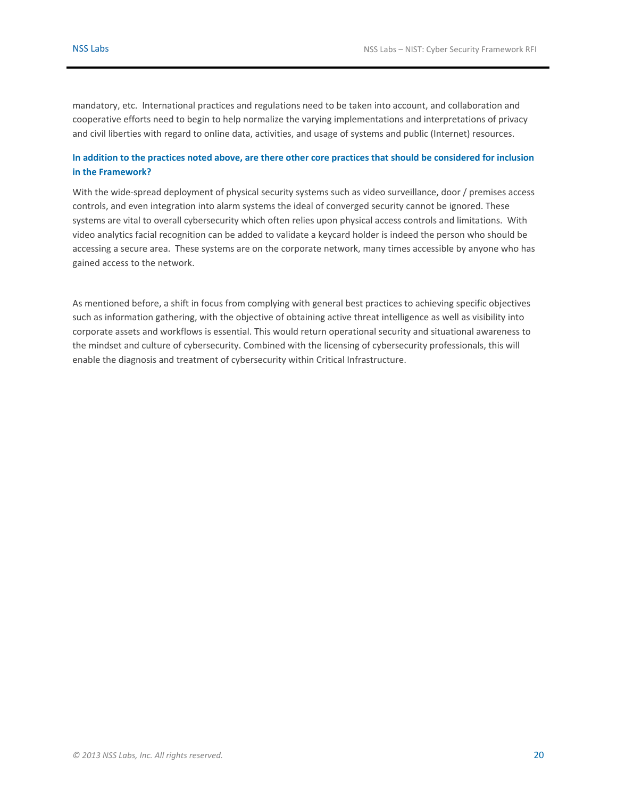mandatory, etc. International practices and regulations need to be taken into account, and collaboration and cooperative efforts need to begin to help normalize the varying implementations and interpretations of privacy and civil liberties with regard to online data, activities, and usage of systems and public (Internet) resources.

## **In addition to the practices noted above, are there other core practices that should be considered for inclusion in the Framework?**

With the wide-spread deployment of physical security systems such as video surveillance, door / premises access controls, and even integration into alarm systems the ideal of converged security cannot be ignored. These systems are vital to overall cybersecurity which often relies upon physical access controls and limitations. With video analytics facial recognition can be added to validate a keycard holder is indeed the person who should be accessing a secure area. These systems are on the corporate network, many times accessible by anyone who has gained access to the network.

As mentioned before, a shift in focus from complying with general best practices to achieving specific objectives such as information gathering, with the objective of obtaining active threat intelligence as well as visibility into corporate assets and workflows is essential. This would return operational security and situational awareness to the mindset and culture of cybersecurity. Combined with the licensing of cybersecurity professionals, this will enable the diagnosis and treatment of cybersecurity within Critical Infrastructure.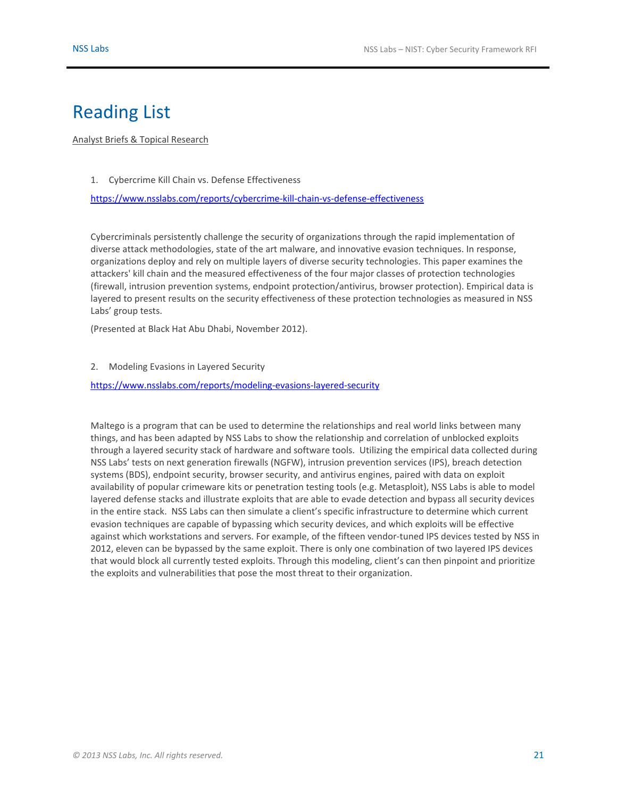## Reading List

Analyst Briefs & Topical Research

1. Cybercrime Kill Chain vs. Defense Effectiveness

<https://www.nsslabs.com/reports/cybercrime-kill-chain-vs-defense-effectiveness>

Cybercriminals persistently challenge the security of organizations through the rapid implementation of diverse attack methodologies, state of the art malware, and innovative evasion techniques. In response, organizations deploy and rely on multiple layers of diverse security technologies. This paper examines the attackers' kill chain and the measured effectiveness of the four major classes of protection technologies (firewall, intrusion prevention systems, endpoint protection/antivirus, browser protection). Empirical data is layered to present results on the security effectiveness of these protection technologies as measured in NSS Labs' group tests.

(Presented at Black Hat Abu Dhabi, November 2012).

#### 2. Modeling Evasions in Layered Security

<https://www.nsslabs.com/reports/modeling-evasions-layered-security>

Maltego is a program that can be used to determine the relationships and real world links between many things, and has been adapted by NSS Labs to show the relationship and correlation of unblocked exploits through a layered security stack of hardware and software tools. Utilizing the empirical data collected during NSS Labs' tests on next generation firewalls (NGFW), intrusion prevention services (IPS), breach detection systems (BDS), endpoint security, browser security, and antivirus engines, paired with data on exploit availability of popular crimeware kits or penetration testing tools (e.g. Metasploit), NSS Labs is able to model layered defense stacks and illustrate exploits that are able to evade detection and bypass all security devices in the entire stack. NSS Labs can then simulate a client's specific infrastructure to determine which current evasion techniques are capable of bypassing which security devices, and which exploits will be effective against which workstations and servers. For example, of the fifteen vendor-tuned IPS devices tested by NSS in 2012, eleven can be bypassed by the same exploit. There is only one combination of two layered IPS devices that would block all currently tested exploits. Through this modeling, client's can then pinpoint and prioritize the exploits and vulnerabilities that pose the most threat to their organization.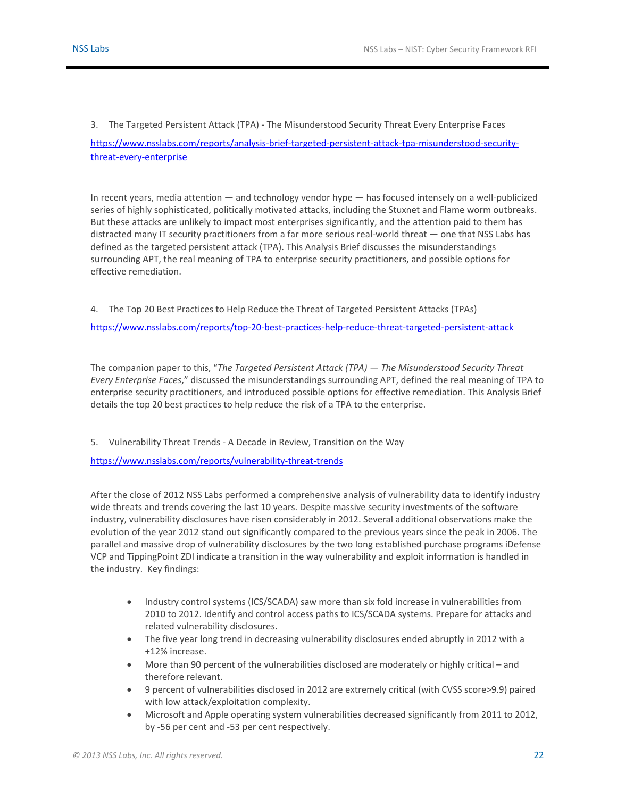3. The Targeted Persistent Attack (TPA) - The Misunderstood Security Threat Every Enterprise Faces

[https://www.nsslabs.com/reports/analysis-brief-targeted-persistent-attack-tpa-misunderstood-security](https://www.nsslabs.com/reports/analysis-brief-targeted-persistent-attack-tpa-misunderstood-security-threat-every-enterprise)[threat-every-enterprise](https://www.nsslabs.com/reports/analysis-brief-targeted-persistent-attack-tpa-misunderstood-security-threat-every-enterprise)

In recent years, media attention — and technology vendor hype — has focused intensely on a well-publicized series of highly sophisticated, politically motivated attacks, including the Stuxnet and Flame worm outbreaks. But these attacks are unlikely to impact most enterprises significantly, and the attention paid to them has distracted many IT security practitioners from a far more serious real-world threat — one that NSS Labs has defined as the targeted persistent attack (TPA). This Analysis Brief discusses the misunderstandings surrounding APT, the real meaning of TPA to enterprise security practitioners, and possible options for effective remediation.

4. The Top 20 Best Practices to Help Reduce the Threat of Targeted Persistent Attacks (TPAs)

<https://www.nsslabs.com/reports/top-20-best-practices-help-reduce-threat-targeted-persistent-attack>

The companion paper to this, "*[The Targeted Persistent Attack \(TPA\) —](https://www.nsslabs.com/reports/analysis-brief-targeted-persistent-attack-tpa-misunderstood-security-threat-every-enterprise) The Misunderstood Security Threat [Every Enterprise Faces](https://www.nsslabs.com/reports/analysis-brief-targeted-persistent-attack-tpa-misunderstood-security-threat-every-enterprise)*," discussed the misunderstandings surrounding APT, defined the real meaning of TPA to enterprise security practitioners, and introduced possible options for effective remediation. This Analysis Brief details the top 20 best practices to help reduce the risk of a TPA to the enterprise.

5. Vulnerability Threat Trends - A Decade in Review, Transition on the Way

<https://www.nsslabs.com/reports/vulnerability-threat-trends>

After the close of 2012 NSS Labs performed a comprehensive analysis of vulnerability data to identify industry wide threats and trends covering the last 10 years. Despite massive security investments of the software industry, vulnerability disclosures have risen considerably in 2012. Several additional observations make the evolution of the year 2012 stand out significantly compared to the previous years since the peak in 2006. The parallel and massive drop of vulnerability disclosures by the two long established purchase programs iDefense VCP and TippingPoint ZDI indicate a transition in the way vulnerability and exploit information is handled in the industry. Key findings:

- Industry control systems (ICS/SCADA) saw more than six fold increase in vulnerabilities from 2010 to 2012. Identify and control access paths to ICS/SCADA systems. Prepare for attacks and related vulnerability disclosures.
- The five year long trend in decreasing vulnerability disclosures ended abruptly in 2012 with a +12% increase.
- More than 90 percent of the vulnerabilities disclosed are moderately or highly critical and therefore relevant.
- 9 percent of vulnerabilities disclosed in 2012 are extremely critical (with CVSS score>9.9) paired with low attack/exploitation complexity.
- Microsoft and Apple operating system vulnerabilities decreased significantly from 2011 to 2012, by -56 per cent and -53 per cent respectively.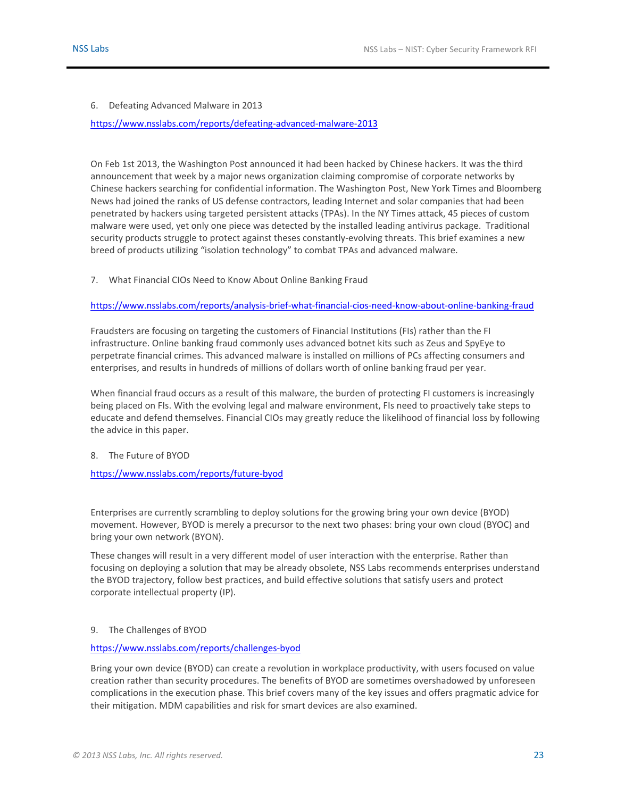#### 6. Defeating Advanced Malware in 2013

#### <https://www.nsslabs.com/reports/defeating-advanced-malware-2013>

On Feb 1st 2013, the Washington Post announced it had been hacked by Chinese hackers. It was the third announcement that week by a major news organization claiming compromise of corporate networks by Chinese hackers searching for confidential information. The Washington Post, New York Times and Bloomberg News had joined the ranks of US defense contractors, leading Internet and solar companies that had been penetrated by hackers using targeted persistent attacks (TPAs). In the NY Times attack, 45 pieces of custom malware were used, yet only one piece was detected by the installed leading antivirus package. Traditional security products struggle to protect against theses constantly-evolving threats. This brief examines a new breed of products utilizing "isolation technology" to combat TPAs and advanced malware.

#### 7. What Financial CIOs Need to Know About Online Banking Fraud

#### <https://www.nsslabs.com/reports/analysis-brief-what-financial-cios-need-know-about-online-banking-fraud>

Fraudsters are focusing on targeting the customers of Financial Institutions (FIs) rather than the FI infrastructure. Online banking fraud commonly uses advanced botnet kits such as Zeus and SpyEye to perpetrate financial crimes. This advanced malware is installed on millions of PCs affecting consumers and enterprises, and results in hundreds of millions of dollars worth of online banking fraud per year.

When financial fraud occurs as a result of this malware, the burden of protecting FI customers is increasingly being placed on FIs. With the evolving legal and malware environment, FIs need to proactively take steps to educate and defend themselves. Financial CIOs may greatly reduce the likelihood of financial loss by following the advice in this paper.

#### 8. The Future of BYOD

#### <https://www.nsslabs.com/reports/future-byod>

Enterprises are currently scrambling to deploy solutions for the growing bring your own device (BYOD) movement. However, BYOD is merely a precursor to the next two phases: bring your own cloud (BYOC) and bring your own network (BYON).

These changes will result in a very different model of user interaction with the enterprise. Rather than focusing on deploying a solution that may be already obsolete, NSS Labs recommends enterprises understand the BYOD trajectory, follow best practices, and build effective solutions that satisfy users and protect corporate intellectual property (IP).

#### 9. The Challenges of BYOD

#### <https://www.nsslabs.com/reports/challenges-byod>

Bring your own device (BYOD) can create a revolution in workplace productivity, with users focused on value creation rather than security procedures. The benefits of BYOD are sometimes overshadowed by unforeseen complications in the execution phase. This brief covers many of the key issues and offers pragmatic advice for their mitigation. MDM capabilities and risk for smart devices are also examined.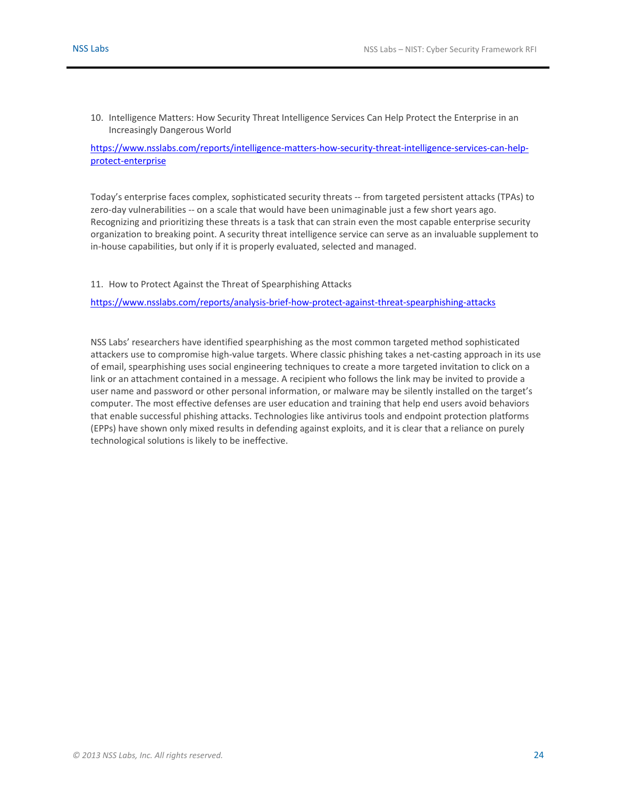10. Intelligence Matters: How Security Threat Intelligence Services Can Help Protect the Enterprise in an Increasingly Dangerous World

## [https://www.nsslabs.com/reports/intelligence-matters-how-security-threat-intelligence-services-can-help](https://www.nsslabs.com/reports/intelligence-matters-how-security-threat-intelligence-services-can-help-protect-enterprise)[protect-enterprise](https://www.nsslabs.com/reports/intelligence-matters-how-security-threat-intelligence-services-can-help-protect-enterprise)

Today's enterprise faces complex, sophisticated security threats -- from targeted persistent attacks (TPAs) to zero-day vulnerabilities -- on a scale that would have been unimaginable just a few short years ago. Recognizing and prioritizing these threats is a task that can strain even the most capable enterprise security organization to breaking point. A security threat intelligence service can serve as an invaluable supplement to in-house capabilities, but only if it is properly evaluated, selected and managed.

11. How to Protect Against the Threat of Spearphishing Attacks

<https://www.nsslabs.com/reports/analysis-brief-how-protect-against-threat-spearphishing-attacks>

NSS Labs' researchers have identified spearphishing as the most common targeted method sophisticated attackers use to compromise high-value targets. Where classic phishing takes a net-casting approach in its use of email, spearphishing uses social engineering techniques to create a more targeted invitation to click on a link or an attachment contained in a message. A recipient who follows the link may be invited to provide a user name and password or other personal information, or malware may be silently installed on the target's computer. The most effective defenses are user education and training that help end users avoid behaviors that enable successful phishing attacks. Technologies like antivirus tools and endpoint protection platforms (EPPs) have shown only mixed results in defending against exploits, and it is clear that a reliance on purely technological solutions is likely to be ineffective.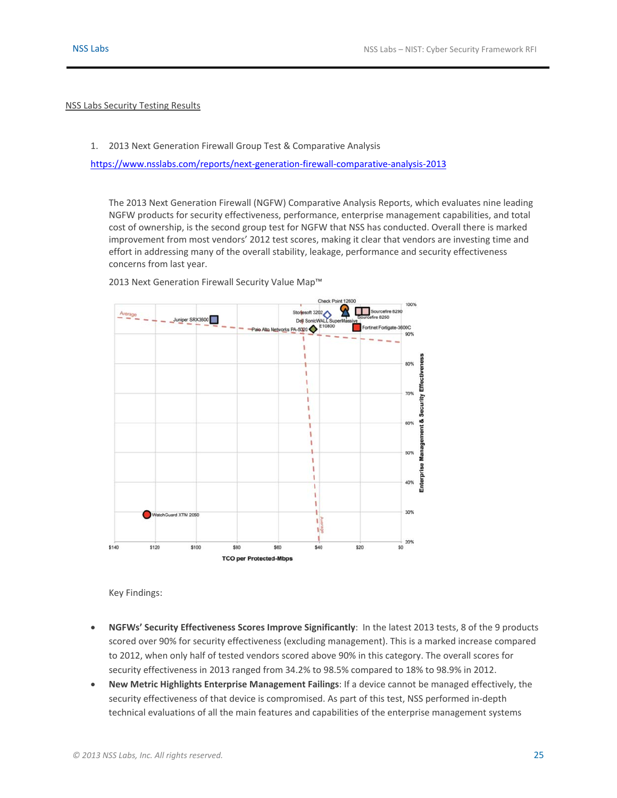#### NSS Labs Security Testing Results

1. 2013 Next Generation Firewall Group Test & Comparative Analysis

<https://www.nsslabs.com/reports/next-generation-firewall-comparative-analysis-2013>

The 2013 Next Generation Firewall (NGFW) Comparative Analysis Reports, which evaluates nine leading NGFW products for security effectiveness, performance, enterprise management capabilities, and total cost of ownership, is the second group test for NGFW that NSS has conducted. Overall there is marked improvement from most vendors' 2012 test scores, making it clear that vendors are investing time and effort in addressing many of the overall stability, leakage, performance and security effectiveness concerns from last year.



2013 Next Generation Firewall Security Value Map<sup>™</sup>

Key Findings:

- **NGFWs' Security Effectiveness Scores Improve Significantly**: In the latest 2013 tests, 8 of the 9 products scored over 90% for security effectiveness (excluding management). This is a marked increase compared to 2012, when only half of tested vendors scored above 90% in this category. The overall scores for security effectiveness in 2013 ranged from 34.2% to 98.5% compared to 18% to 98.9% in 2012.
- **New Metric Highlights Enterprise Management Failings**: If a device cannot be managed effectively, the security effectiveness of that device is compromised. As part of this test, NSS performed in-depth technical evaluations of all the main features and capabilities of the enterprise management systems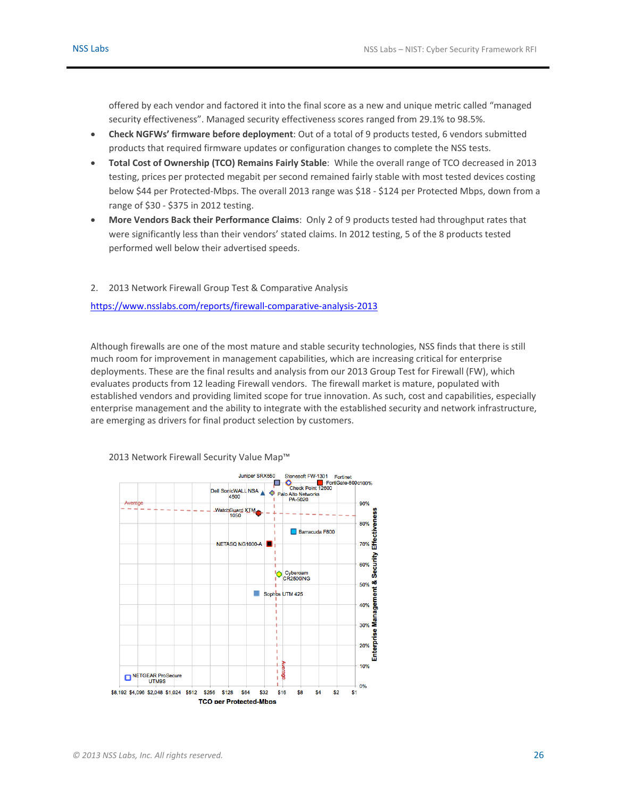offered by each vendor and factored it into the final score as a new and unique metric called "managed security effectiveness". Managed security effectiveness scores ranged from 29.1% to 98.5%.

- **Check NGFWs' firmware before deployment**: Out of a total of 9 products tested, 6 vendors submitted products that required firmware updates or configuration changes to complete the NSS tests.
- **Total Cost of Ownership (TCO) Remains Fairly Stable**: While the overall range of TCO decreased in 2013 testing, prices per protected megabit per second remained fairly stable with most tested devices costing below \$44 per Protected-Mbps. The overall 2013 range was \$18 - \$124 per Protected Mbps, down from a range of \$30 - \$375 in 2012 testing.
- **More Vendors Back their Performance Claims**: Only 2 of 9 products tested had throughput rates that were significantly less than their vendors' stated claims. In 2012 testing, 5 of the 8 products tested performed well below their advertised speeds.
- 2. 2013 Network Firewall Group Test & Comparative Analysis

<https://www.nsslabs.com/reports/firewall-comparative-analysis-2013>

Although firewalls are one of the most mature and stable security technologies, NSS finds that there is still much room for improvement in management capabilities, which are increasing critical for enterprise deployments. These are the final results and analysis from our 2013 Group Test for Firewall (FW), which evaluates products from 12 leading Firewall vendors. The firewall market is mature, populated with established vendors and providing limited scope for true innovation. As such, cost and capabilities, especially enterprise management and the ability to integrate with the established security and network infrastructure, are emerging as drivers for final product selection by customers.



2013 Network Firewall Security Value Map<sup>™</sup>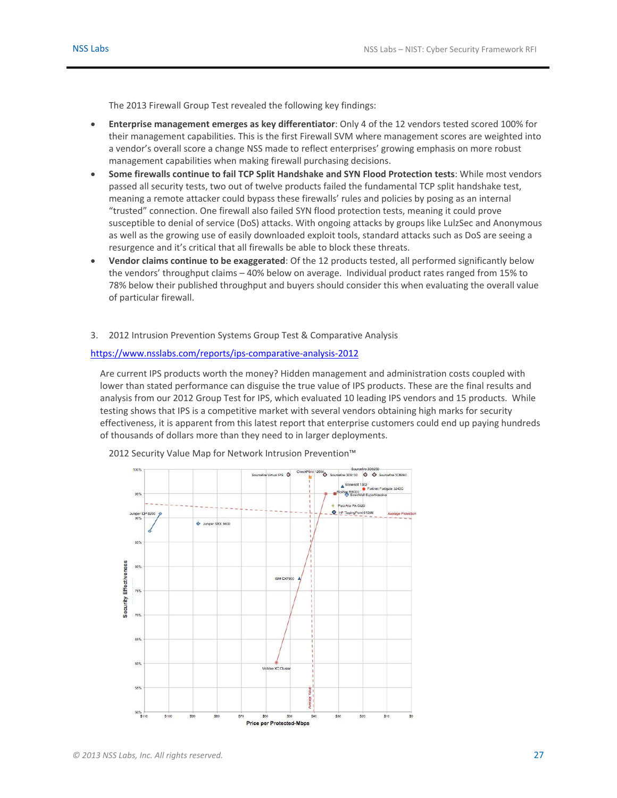The 2013 Firewall Group Test revealed the following key findings:

- **Enterprise management emerges as key differentiator**: Only 4 of the 12 vendors tested scored 100% for their management capabilities. This is the first Firewall SVM where management scores are weighted into a vendor's overall score a change NSS made to reflect enterprises' growing emphasis on more robust management capabilities when making firewall purchasing decisions.
- **Some firewalls continue to fail TCP Split Handshake and SYN Flood Protection tests**: While most vendors passed all security tests, two out of twelve products failed the fundamental TCP split handshake test, meaning a remote attacker could bypass these firewalls' rules and policies by posing as an internal "trusted" connection. One firewall also failed SYN flood protection tests, meaning it could prove susceptible to denial of service (DoS) attacks. With ongoing attacks by groups like LulzSec and Anonymous as well as the growing use of easily downloaded exploit tools, standard attacks such as DoS are seeing a resurgence and it's critical that all firewalls be able to block these threats.
- **Vendor claims continue to be exaggerated**: Of the 12 products tested, all performed significantly below the vendors' throughput claims – 40% below on average. Individual product rates ranged from 15% to 78% below their published throughput and buyers should consider this when evaluating the overall value of particular firewall.
- 3. 2012 Intrusion Prevention Systems Group Test & Comparative Analysis

#### <https://www.nsslabs.com/reports/ips-comparative-analysis-2012>

Are current IPS products worth the money? Hidden management and administration costs coupled with lower than stated performance can disguise the true value of IPS products. These are the final results and analysis from our 2012 Group Test for IPS, which evaluated 10 leading IPS vendors and 15 products. While testing shows that IPS is a competitive market with several vendors obtaining high marks for security effectiveness, it is apparent from this latest report that enterprise customers could end up paying hundreds of thousands of dollars more than they need to in larger deployments.



2012 Security Value Map for Network Intrusion Prevention™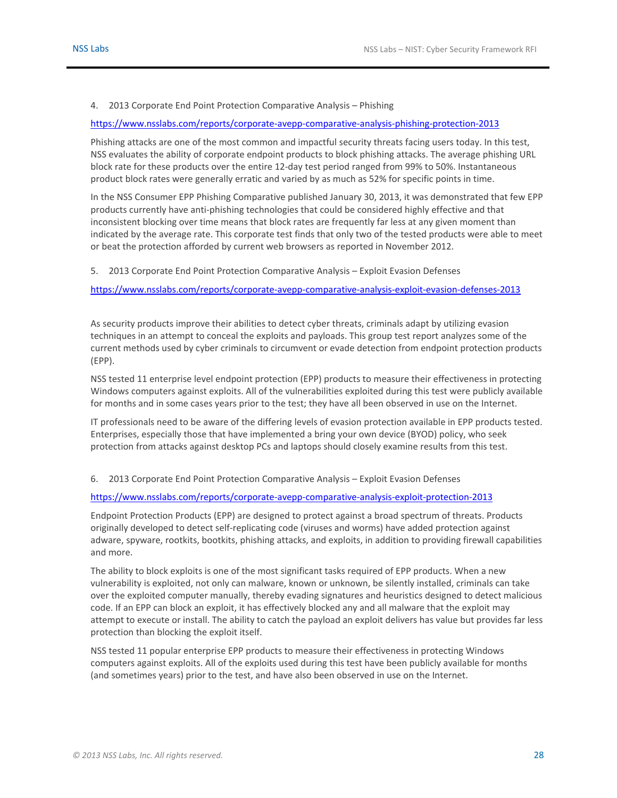#### 4. 2013 Corporate End Point Protection Comparative Analysis – Phishing

#### <https://www.nsslabs.com/reports/corporate-avepp-comparative-analysis-phishing-protection-2013>

Phishing attacks are one of the most common and impactful security threats facing users today. In this test, NSS evaluates the ability of corporate endpoint products to block phishing attacks. The average phishing URL block rate for these products over the entire 12-day test period ranged from 99% to 50%. Instantaneous product block rates were generally erratic and varied by as much as 52% for specific points in time.

In the NSS Consumer EPP Phishing Comparative published January 30, 2013, it was demonstrated that few EPP products currently have anti-phishing technologies that could be considered highly effective and that inconsistent blocking over time means that block rates are frequently far less at any given moment than indicated by the average rate. This corporate test finds that only two of the tested products were able to meet or beat the protection afforded by current web browsers as reported in November 2012.

#### 5. 2013 Corporate End Point Protection Comparative Analysis – Exploit Evasion Defenses

<https://www.nsslabs.com/reports/corporate-avepp-comparative-analysis-exploit-evasion-defenses-2013>

As security products improve their abilities to detect cyber threats, criminals adapt by utilizing evasion techniques in an attempt to conceal the exploits and payloads. This group test report analyzes some of the current methods used by cyber criminals to circumvent or evade detection from endpoint protection products (EPP).

NSS tested 11 enterprise level endpoint protection (EPP) products to measure their effectiveness in protecting Windows computers against exploits. All of the vulnerabilities exploited during this test were publicly available for months and in some cases years prior to the test; they have all been observed in use on the Internet.

IT professionals need to be aware of the differing levels of evasion protection available in EPP products tested. Enterprises, especially those that have implemented a bring your own device (BYOD) policy, who seek protection from attacks against desktop PCs and laptops should closely examine results from this test.

6. 2013 Corporate End Point Protection Comparative Analysis – Exploit Evasion Defenses

#### <https://www.nsslabs.com/reports/corporate-avepp-comparative-analysis-exploit-protection-2013>

Endpoint Protection Products (EPP) are designed to protect against a broad spectrum of threats. Products originally developed to detect self-replicating code (viruses and worms) have added protection against adware, spyware, rootkits, bootkits, phishing attacks, and exploits, in addition to providing firewall capabilities and more.

The ability to block exploits is one of the most significant tasks required of EPP products. When a new vulnerability is exploited, not only can malware, known or unknown, be silently installed, criminals can take over the exploited computer manually, thereby evading signatures and heuristics designed to detect malicious code. If an EPP can block an exploit, it has effectively blocked any and all malware that the exploit may attempt to execute or install. The ability to catch the payload an exploit delivers has value but provides far less protection than blocking the exploit itself.

NSS tested 11 popular enterprise EPP products to measure their effectiveness in protecting Windows computers against exploits. All of the exploits used during this test have been publicly available for months (and sometimes years) prior to the test, and have also been observed in use on the Internet.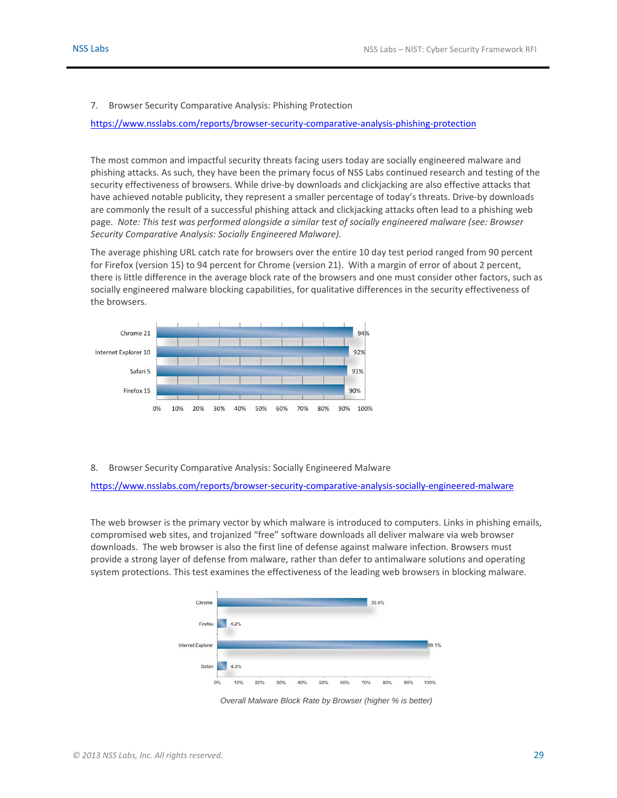7. Browser Security Comparative Analysis: Phishing Protection

#### <https://www.nsslabs.com/reports/browser-security-comparative-analysis-phishing-protection>

The most common and impactful security threats facing users today are socially engineered malware and phishing attacks. As such, they have been the primary focus of NSS Labs continued research and testing of the security effectiveness of browsers. While drive-by downloads and clickjacking are also effective attacks that have achieved notable publicity, they represent a smaller percentage of today's threats. Drive-by downloads are commonly the result of a successful phishing attack and clickjacking attacks often lead to a phishing web page. *Note: This test was performed alongside a similar test of socially engineered malware (see[: Browser](https://www.nsslabs.com/reports/browser-security-comparative-analysis-socially-engineered-malware)  [Security Comparative Analysis: Socially Engineered Malware\)](https://www.nsslabs.com/reports/browser-security-comparative-analysis-socially-engineered-malware).*

The average phishing URL catch rate for browsers over the entire 10 day test period ranged from 90 percent for Firefox (version 15) to 94 percent for Chrome (version 21). With a margin of error of about 2 percent, there is little difference in the average block rate of the browsers and one must consider other factors, such as socially engineered malware blocking capabilities, for qualitative differences in the security effectiveness of the browsers.



#### 8. Browser Security Comparative Analysis: Socially Engineered Malware

<https://www.nsslabs.com/reports/browser-security-comparative-analysis-socially-engineered-malware>

The web browser is the primary vector by which malware is introduced to computers. Links in phishing emails, compromised web sites, and trojanized "free" software downloads all deliver malware via web browser downloads. The web browser is also the first line of defense against malware infection. Browsers must provide a strong layer of defense from malware, rather than defer to antimalware solutions and operating system protections. This test examines the effectiveness of the leading web browsers in blocking malware.



*Overall Malware Block Rate by Browser (higher % is better)*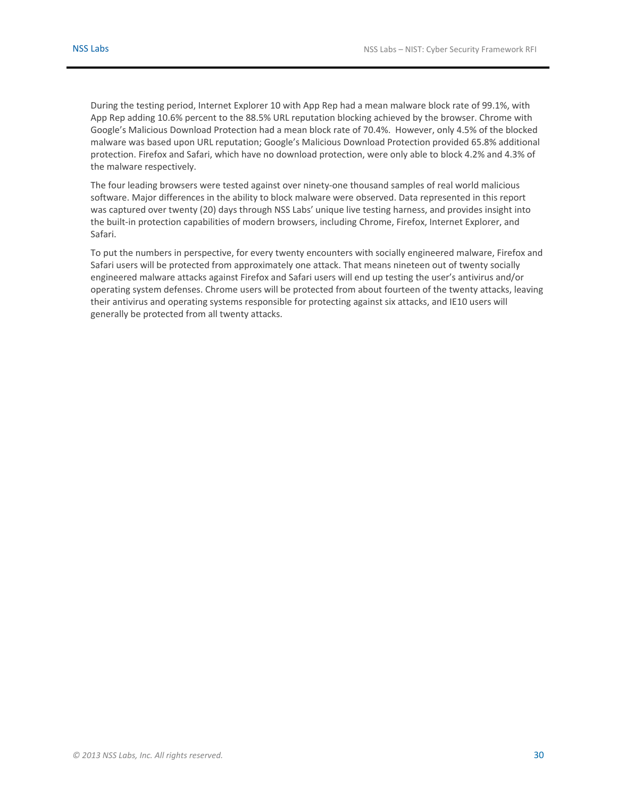During the testing period, Internet Explorer 10 with App Rep had a mean malware block rate of 99.1%, with App Rep adding 10.6% percent to the 88.5% URL reputation blocking achieved by the browser. Chrome with Google's Malicious Download Protection had a mean block rate of 70.4%. However, only 4.5% of the blocked malware was based upon URL reputation; Google's Malicious Download Protection provided 65.8% additional protection. Firefox and Safari, which have no download protection, were only able to block 4.2% and 4.3% of the malware respectively.

The four leading browsers were tested against over ninety-one thousand samples of real world malicious software. Major differences in the ability to block malware were observed. Data represented in this report was captured over twenty (20) days through NSS Labs' unique live testing harness, and provides insight into the built-in protection capabilities of modern browsers, including Chrome, Firefox, Internet Explorer, and Safari.

To put the numbers in perspective, for every twenty encounters with socially engineered malware, Firefox and Safari users will be protected from approximately one attack. That means nineteen out of twenty socially engineered malware attacks against Firefox and Safari users will end up testing the user's antivirus and/or operating system defenses. Chrome users will be protected from about fourteen of the twenty attacks, leaving their antivirus and operating systems responsible for protecting against six attacks, and IE10 users will generally be protected from all twenty attacks.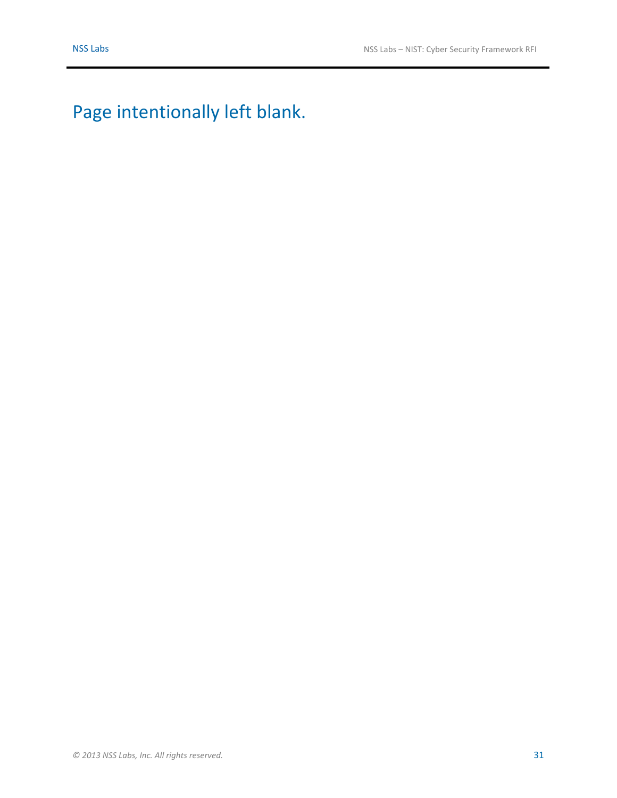# Page intentionally left blank.